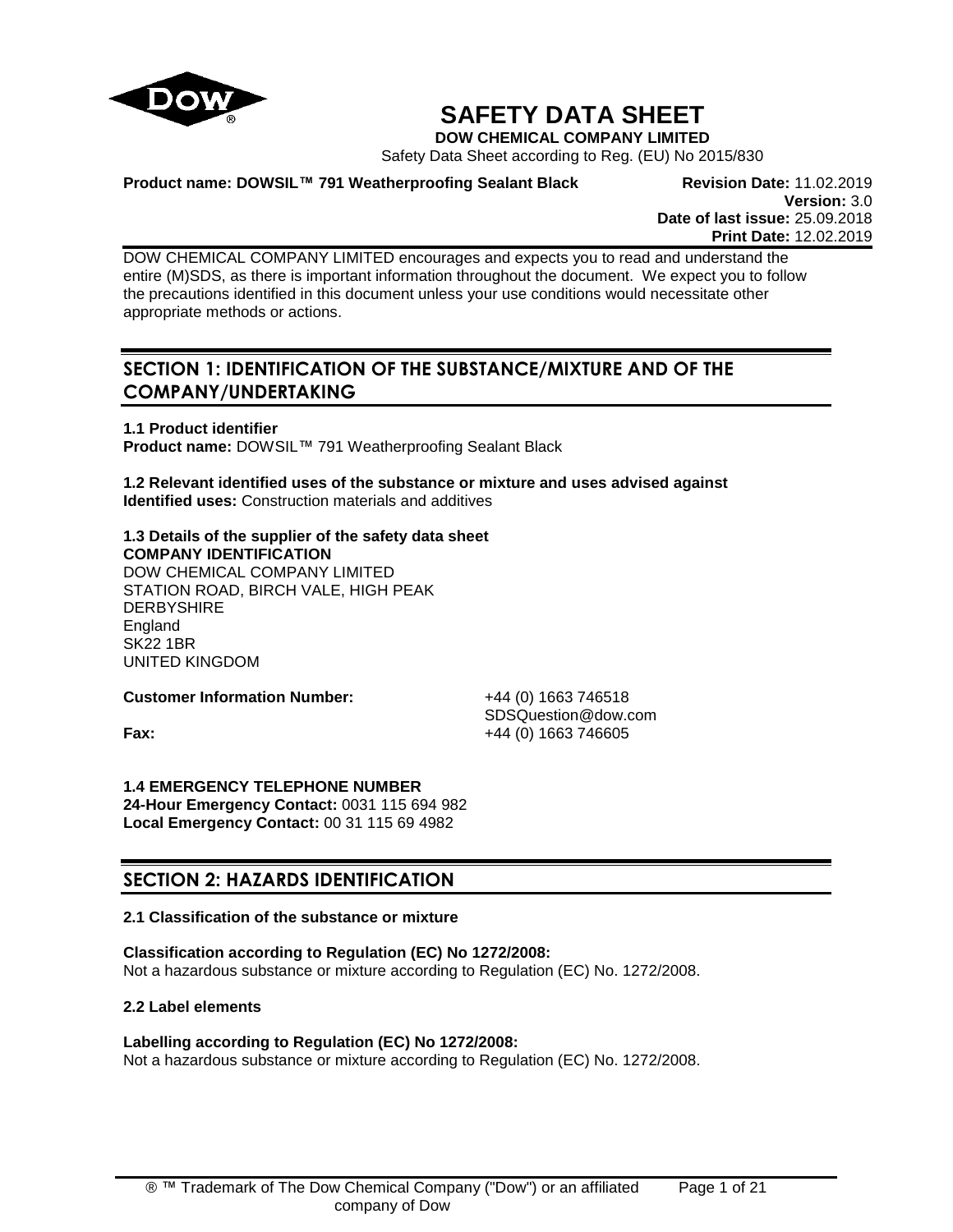

# **SAFETY DATA SHEET**

**DOW CHEMICAL COMPANY LIMITED**

Safety Data Sheet according to Reg. (EU) No 2015/830

**Product name: DOWSIL™ 791 Weatherproofing Sealant Black Revision Date:** 11.02.2019

**Version:** 3.0 **Date of last issue:** 25.09.2018 **Print Date:** 12.02.2019

DOW CHEMICAL COMPANY LIMITED encourages and expects you to read and understand the entire (M)SDS, as there is important information throughout the document. We expect you to follow the precautions identified in this document unless your use conditions would necessitate other appropriate methods or actions.

## **SECTION 1: IDENTIFICATION OF THE SUBSTANCE/MIXTURE AND OF THE COMPANY/UNDERTAKING**

**1.1 Product identifier Product name:** DOWSIL™ 791 Weatherproofing Sealant Black

**1.2 Relevant identified uses of the substance or mixture and uses advised against Identified uses:** Construction materials and additives

**1.3 Details of the supplier of the safety data sheet COMPANY IDENTIFICATION** DOW CHEMICAL COMPANY LIMITED STATION ROAD, BIRCH VALE, HIGH PEAK **DERBYSHIRE** England SK22 1BR UNITED KINGDOM

**Customer Information Number:** +44 (0) 1663 746518

SDSQuestion@dow.com **Fax:**  $+44 (0) 1663 746605$ 

**1.4 EMERGENCY TELEPHONE NUMBER 24-Hour Emergency Contact:** 0031 115 694 982 **Local Emergency Contact:** 00 31 115 69 4982

## **SECTION 2: HAZARDS IDENTIFICATION**

## **2.1 Classification of the substance or mixture**

**Classification according to Regulation (EC) No 1272/2008:** Not a hazardous substance or mixture according to Regulation (EC) No. 1272/2008.

**2.2 Label elements**

## **Labelling according to Regulation (EC) No 1272/2008:**

Not a hazardous substance or mixture according to Regulation (EC) No. 1272/2008.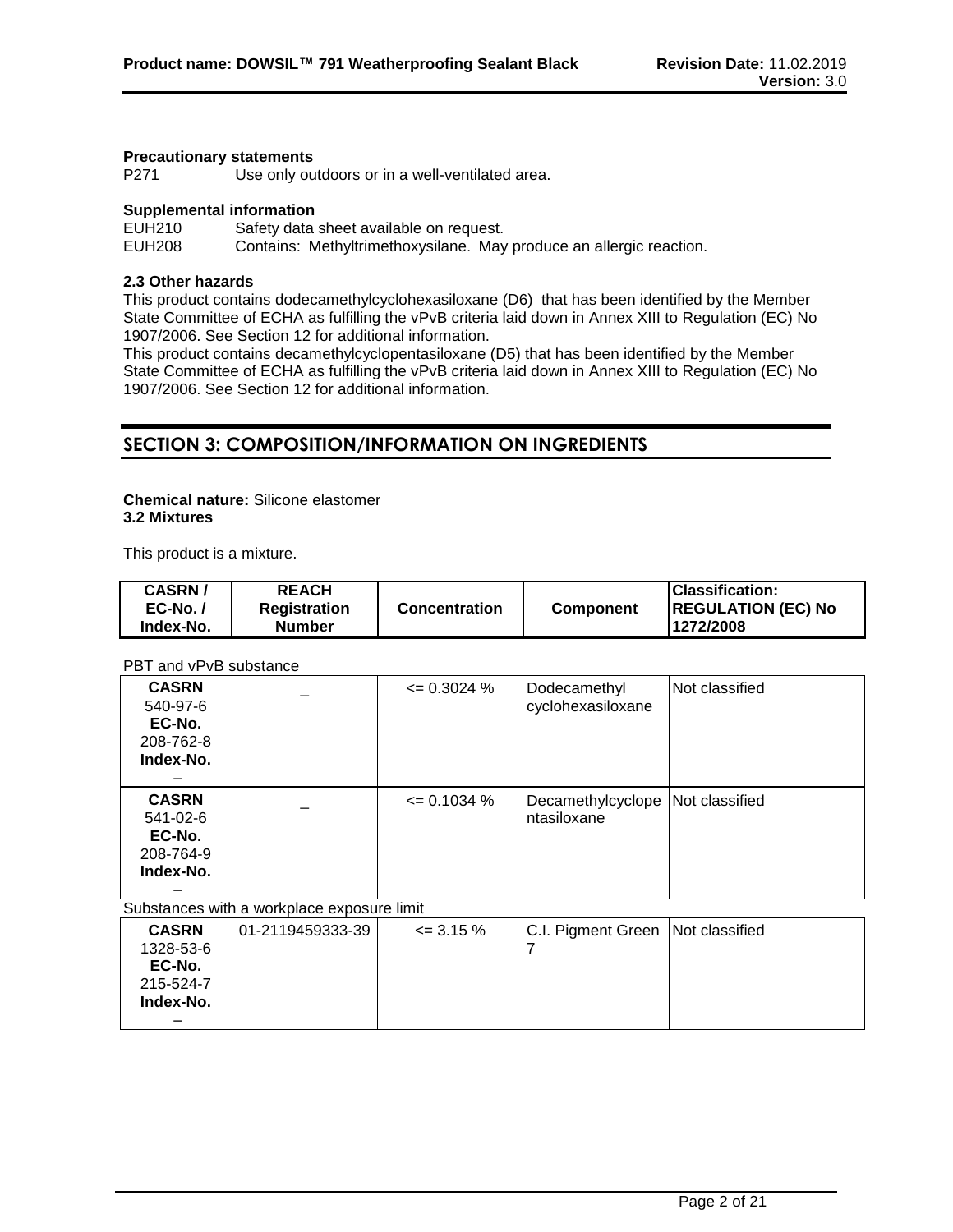#### **Precautionary statements**

P271 Use only outdoors or in a well-ventilated area.

#### **Supplemental information**

EUH210 Safety data sheet available on request. EUH208 Contains: Methyltrimethoxysilane. May produce an allergic reaction.

#### **2.3 Other hazards**

This product contains dodecamethylcyclohexasiloxane (D6) that has been identified by the Member State Committee of ECHA as fulfilling the vPvB criteria laid down in Annex XIII to Regulation (EC) No 1907/2006. See Section 12 for additional information.

This product contains decamethylcyclopentasiloxane (D5) that has been identified by the Member State Committee of ECHA as fulfilling the vPvB criteria laid down in Annex XIII to Regulation (EC) No 1907/2006. See Section 12 for additional information.

## **SECTION 3: COMPOSITION/INFORMATION ON INGREDIENTS**

#### **Chemical nature:** Silicone elastomer **3.2 Mixtures**

This product is a mixture.

| <b>CASRN/</b><br>$EC-No.$ | <b>REACH</b><br><b>Registration</b> | <b>Concentration</b> | <b>Component</b> | <b>Classification:</b><br><b>REGULATION (EC) No</b> |
|---------------------------|-------------------------------------|----------------------|------------------|-----------------------------------------------------|
| Index-No.                 | <b>Number</b>                       |                      |                  | 1272/2008                                           |

PBT and vPvB substance

| <b>CASRN</b><br>540-97-6<br>EC-No.<br>208-762-8<br>Index-No.       |                                            | $\leq$ 0.3024 % | Dodecamethyl<br>cyclohexasiloxane                 | Not classified |
|--------------------------------------------------------------------|--------------------------------------------|-----------------|---------------------------------------------------|----------------|
| <b>CASRN</b><br>$541 - 02 - 6$<br>EC-No.<br>208-764-9<br>Index-No. |                                            | $\leq$ 0.1034 % | Decamethylcyclope   Not classified<br>ntasiloxane |                |
|                                                                    | Substances with a workplace exposure limit |                 |                                                   |                |
| <b>CASRN</b>                                                       | 01-2119459333-39                           | $\leq$ 3.15 %   | C.I. Pigment Green INot classified                |                |

| <b>CASRN</b> | 01-2119459333-39 | $\leq$ 3.15 % | C.I. Pigment Green Not classified |  |
|--------------|------------------|---------------|-----------------------------------|--|
| 1328-53-6    |                  |               |                                   |  |
| EC-No.       |                  |               |                                   |  |
| 215-524-7    |                  |               |                                   |  |
| Index-No.    |                  |               |                                   |  |
|              |                  |               |                                   |  |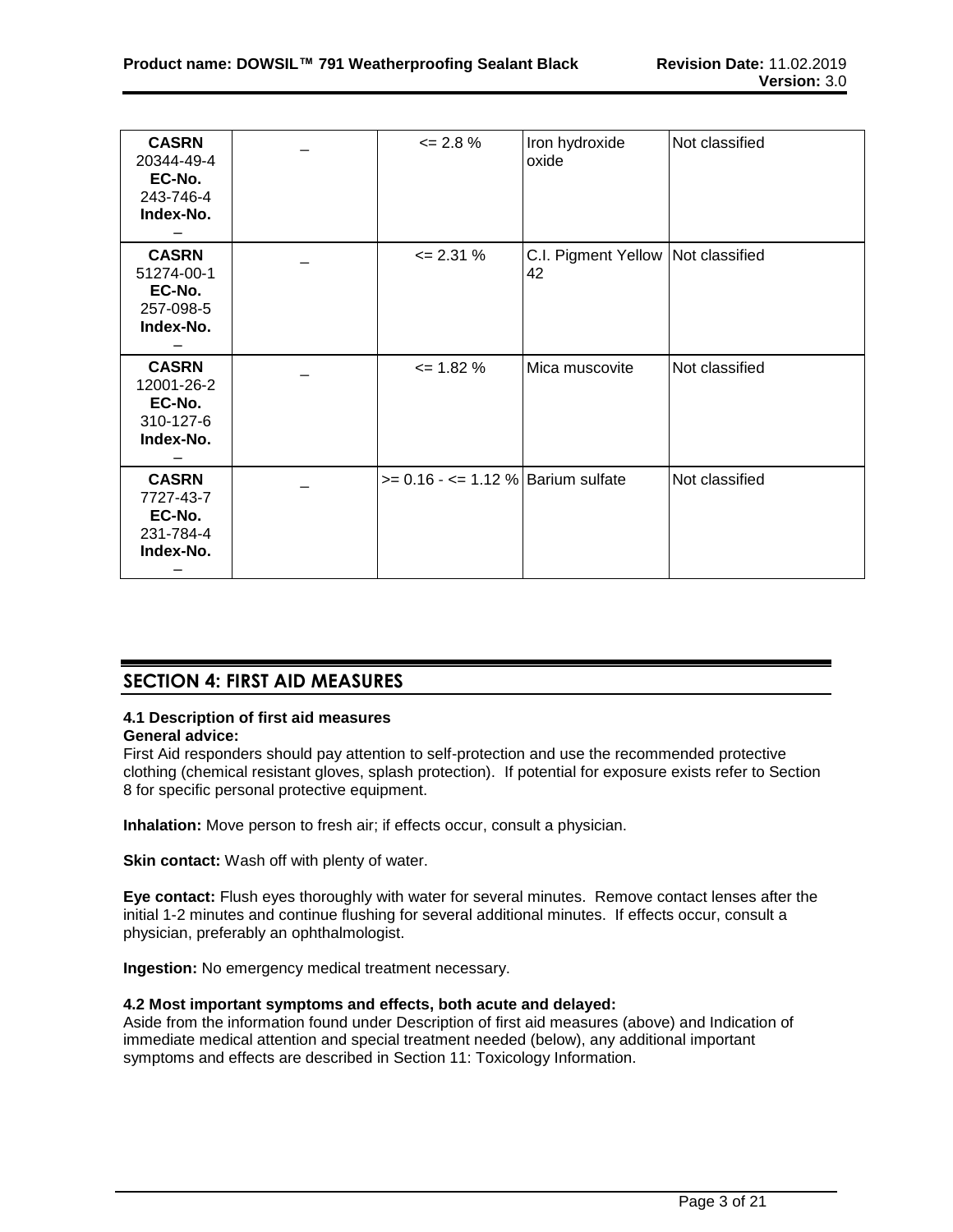| <b>CASRN</b><br>20344-49-4<br>EC-No.<br>243-746-4<br>Index-No. | $\leq$ 2.8 %                          | Iron hydroxide<br>oxide                    | Not classified |
|----------------------------------------------------------------|---------------------------------------|--------------------------------------------|----------------|
| <b>CASRN</b><br>51274-00-1<br>EC-No.<br>257-098-5<br>Index-No. | $\leq$ 2.31 %                         | C.I. Pigment Yellow   Not classified<br>42 |                |
| <b>CASRN</b><br>12001-26-2<br>EC-No.<br>310-127-6<br>Index-No. | $\leq$ 1.82 %                         | Mica muscovite                             | Not classified |
| <b>CASRN</b><br>7727-43-7<br>EC-No.<br>231-784-4<br>Index-No.  | $>= 0.16 - \le 1.12$ % Barium sulfate |                                            | Not classified |

## **SECTION 4: FIRST AID MEASURES**

# **4.1 Description of first aid measures**

**General advice:**

First Aid responders should pay attention to self-protection and use the recommended protective clothing (chemical resistant gloves, splash protection). If potential for exposure exists refer to Section 8 for specific personal protective equipment.

**Inhalation:** Move person to fresh air; if effects occur, consult a physician.

**Skin contact:** Wash off with plenty of water.

**Eye contact:** Flush eyes thoroughly with water for several minutes. Remove contact lenses after the initial 1-2 minutes and continue flushing for several additional minutes. If effects occur, consult a physician, preferably an ophthalmologist.

**Ingestion:** No emergency medical treatment necessary.

## **4.2 Most important symptoms and effects, both acute and delayed:**

Aside from the information found under Description of first aid measures (above) and Indication of immediate medical attention and special treatment needed (below), any additional important symptoms and effects are described in Section 11: Toxicology Information.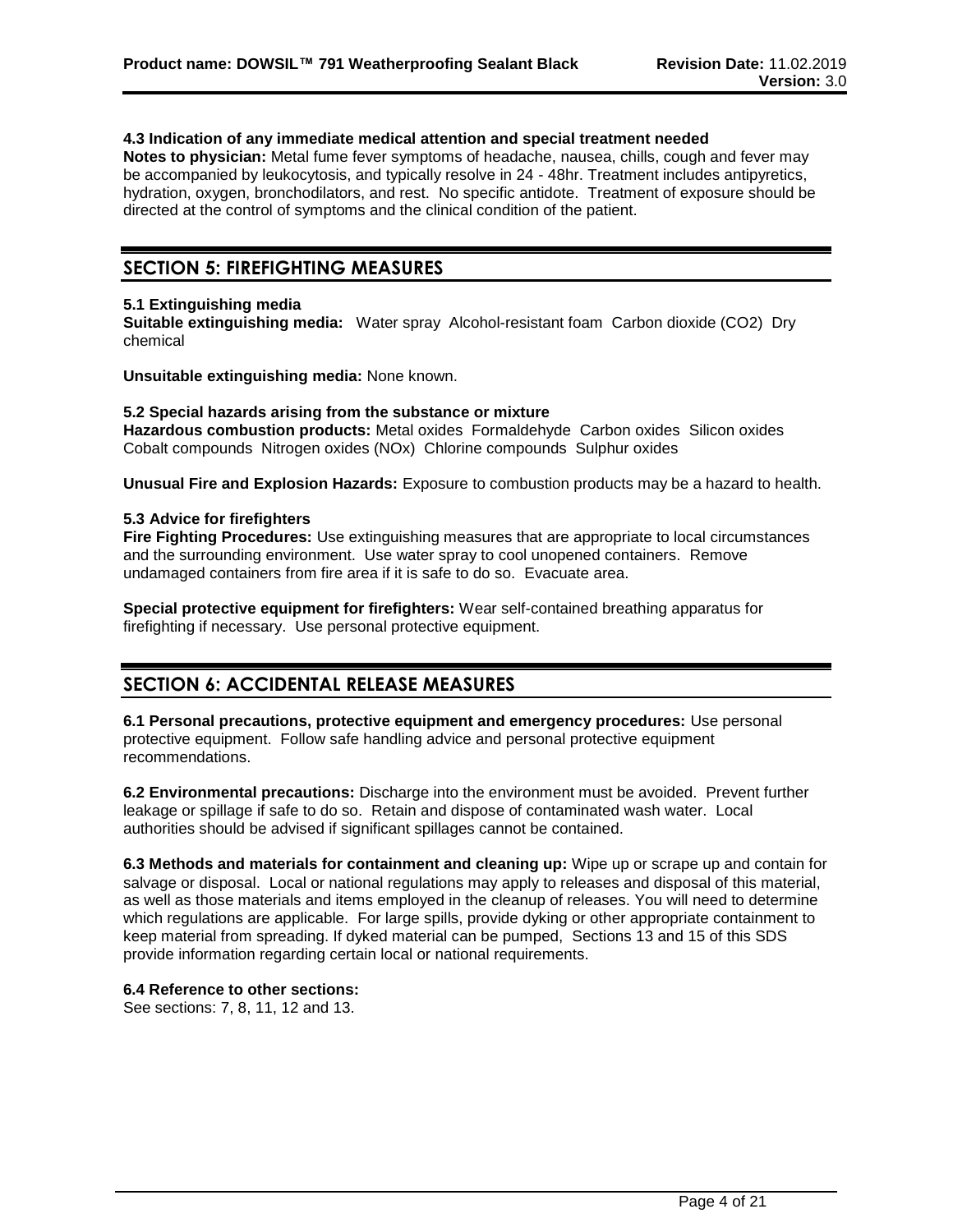#### **4.3 Indication of any immediate medical attention and special treatment needed**

**Notes to physician:** Metal fume fever symptoms of headache, nausea, chills, cough and fever may be accompanied by leukocytosis, and typically resolve in 24 - 48hr. Treatment includes antipyretics, hydration, oxygen, bronchodilators, and rest. No specific antidote. Treatment of exposure should be directed at the control of symptoms and the clinical condition of the patient.

## **SECTION 5: FIREFIGHTING MEASURES**

#### **5.1 Extinguishing media**

**Suitable extinguishing media:** Water spray Alcohol-resistant foam Carbon dioxide (CO2) Dry chemical

**Unsuitable extinguishing media:** None known.

#### **5.2 Special hazards arising from the substance or mixture**

**Hazardous combustion products:** Metal oxides Formaldehyde Carbon oxides Silicon oxides Cobalt compounds Nitrogen oxides (NOx) Chlorine compounds Sulphur oxides

**Unusual Fire and Explosion Hazards:** Exposure to combustion products may be a hazard to health.

#### **5.3 Advice for firefighters**

**Fire Fighting Procedures:** Use extinguishing measures that are appropriate to local circumstances and the surrounding environment. Use water spray to cool unopened containers. Remove undamaged containers from fire area if it is safe to do so. Evacuate area.

**Special protective equipment for firefighters:** Wear self-contained breathing apparatus for firefighting if necessary. Use personal protective equipment.

## **SECTION 6: ACCIDENTAL RELEASE MEASURES**

**6.1 Personal precautions, protective equipment and emergency procedures:** Use personal protective equipment. Follow safe handling advice and personal protective equipment recommendations.

**6.2 Environmental precautions:** Discharge into the environment must be avoided. Prevent further leakage or spillage if safe to do so. Retain and dispose of contaminated wash water. Local authorities should be advised if significant spillages cannot be contained.

**6.3 Methods and materials for containment and cleaning up:** Wipe up or scrape up and contain for salvage or disposal. Local or national regulations may apply to releases and disposal of this material, as well as those materials and items employed in the cleanup of releases. You will need to determine which regulations are applicable. For large spills, provide dyking or other appropriate containment to keep material from spreading. If dyked material can be pumped, Sections 13 and 15 of this SDS provide information regarding certain local or national requirements.

#### **6.4 Reference to other sections:**

See sections: 7, 8, 11, 12 and 13.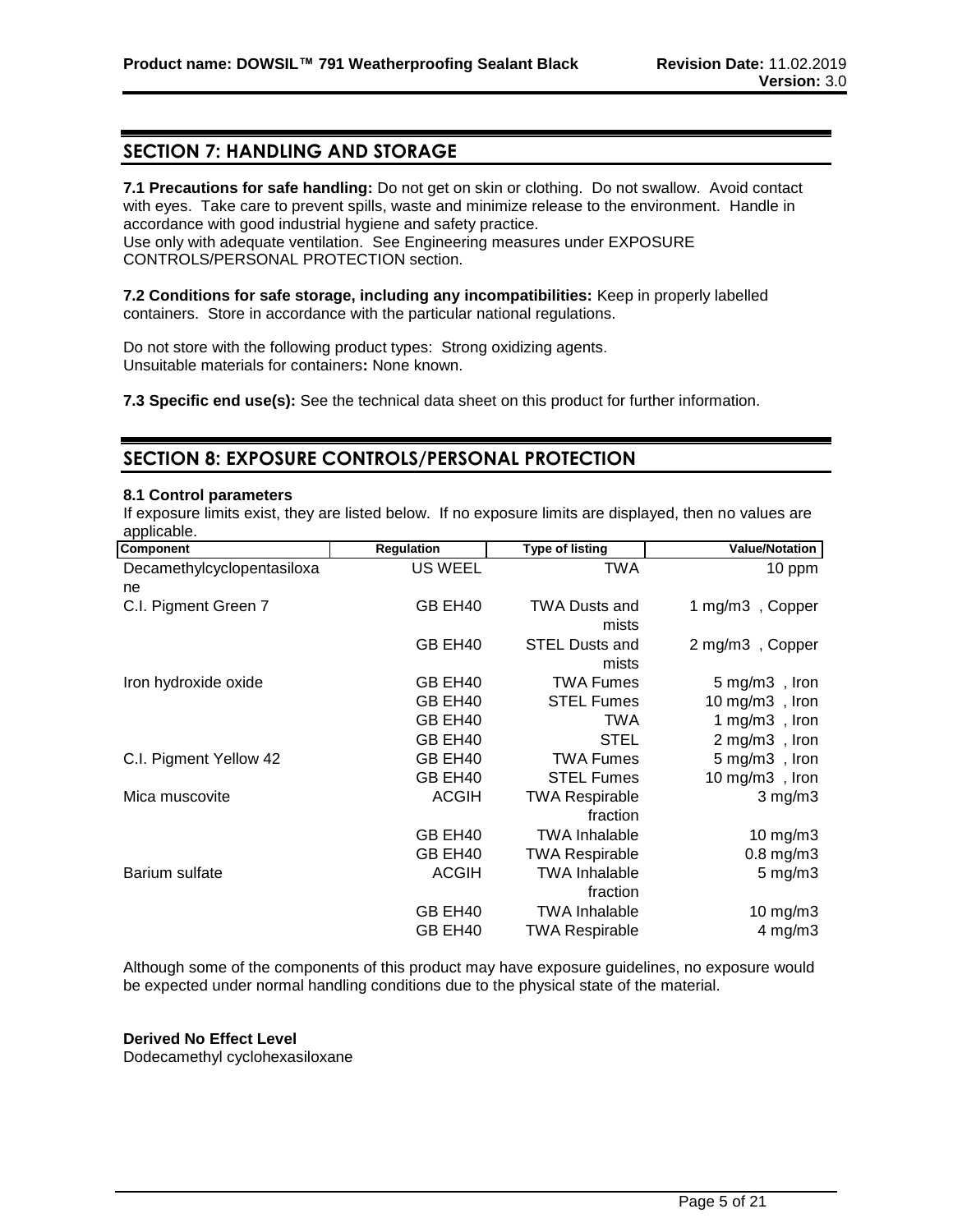## **SECTION 7: HANDLING AND STORAGE**

**7.1 Precautions for safe handling:** Do not get on skin or clothing. Do not swallow. Avoid contact with eyes. Take care to prevent spills, waste and minimize release to the environment. Handle in accordance with good industrial hygiene and safety practice.

Use only with adequate ventilation. See Engineering measures under EXPOSURE CONTROLS/PERSONAL PROTECTION section.

**7.2 Conditions for safe storage, including any incompatibilities:** Keep in properly labelled containers. Store in accordance with the particular national regulations.

Do not store with the following product types: Strong oxidizing agents. Unsuitable materials for containers**:** None known.

**7.3 Specific end use(s):** See the technical data sheet on this product for further information.

## **SECTION 8: EXPOSURE CONTROLS/PERSONAL PROTECTION**

#### **8.1 Control parameters**

If exposure limits exist, they are listed below. If no exposure limits are displayed, then no values are applicable.

| Component                  | Regulation     | <b>Type of listing</b>         | <b>Value/Notation</b>    |
|----------------------------|----------------|--------------------------------|--------------------------|
| Decamethylcyclopentasiloxa | <b>US WEEL</b> | <b>TWA</b>                     | 10 ppm                   |
| ne                         |                |                                |                          |
| C.I. Pigment Green 7       | GB EH40        | <b>TWA Dusts and</b><br>mists  | 1 mg/m3, Copper          |
|                            | GB EH40        | <b>STEL Dusts and</b><br>mists | 2 mg/m3, Copper          |
| Iron hydroxide oxide       | GB EH40        | <b>TWA Fumes</b>               | $5 \text{ mg/m3}$ , Iron |
|                            | GB EH40        | <b>STEL Fumes</b>              | 10 mg/m3, Iron           |
|                            | GB EH40        | TWA                            | 1 mg/m3, Iron            |
|                            | GB EH40        | <b>STEL</b>                    | 2 mg/m3, Iron            |
| C.I. Pigment Yellow 42     | GB EH40        | <b>TWA Fumes</b>               | 5 mg/m3, Iron            |
|                            | GB EH40        | <b>STEL Fumes</b>              | 10 mg/m3, Iron           |
| Mica muscovite             | <b>ACGIH</b>   | <b>TWA Respirable</b>          | $3$ mg/m $3$             |
|                            |                | fraction                       |                          |
|                            | GB EH40        | <b>TWA Inhalable</b>           | 10 mg/m3                 |
|                            | GB EH40        | <b>TWA Respirable</b>          | $0.8$ mg/m $3$           |
| Barium sulfate             | <b>ACGIH</b>   | <b>TWA Inhalable</b>           | $5 \text{ mg/m}$         |
|                            |                | fraction                       |                          |
|                            | GB EH40        | <b>TWA Inhalable</b>           | $10$ mg/m $3$            |
|                            | GB EH40        | <b>TWA Respirable</b>          | $4$ mg/m $3$             |

Although some of the components of this product may have exposure guidelines, no exposure would be expected under normal handling conditions due to the physical state of the material.

#### **Derived No Effect Level**

Dodecamethyl cyclohexasiloxane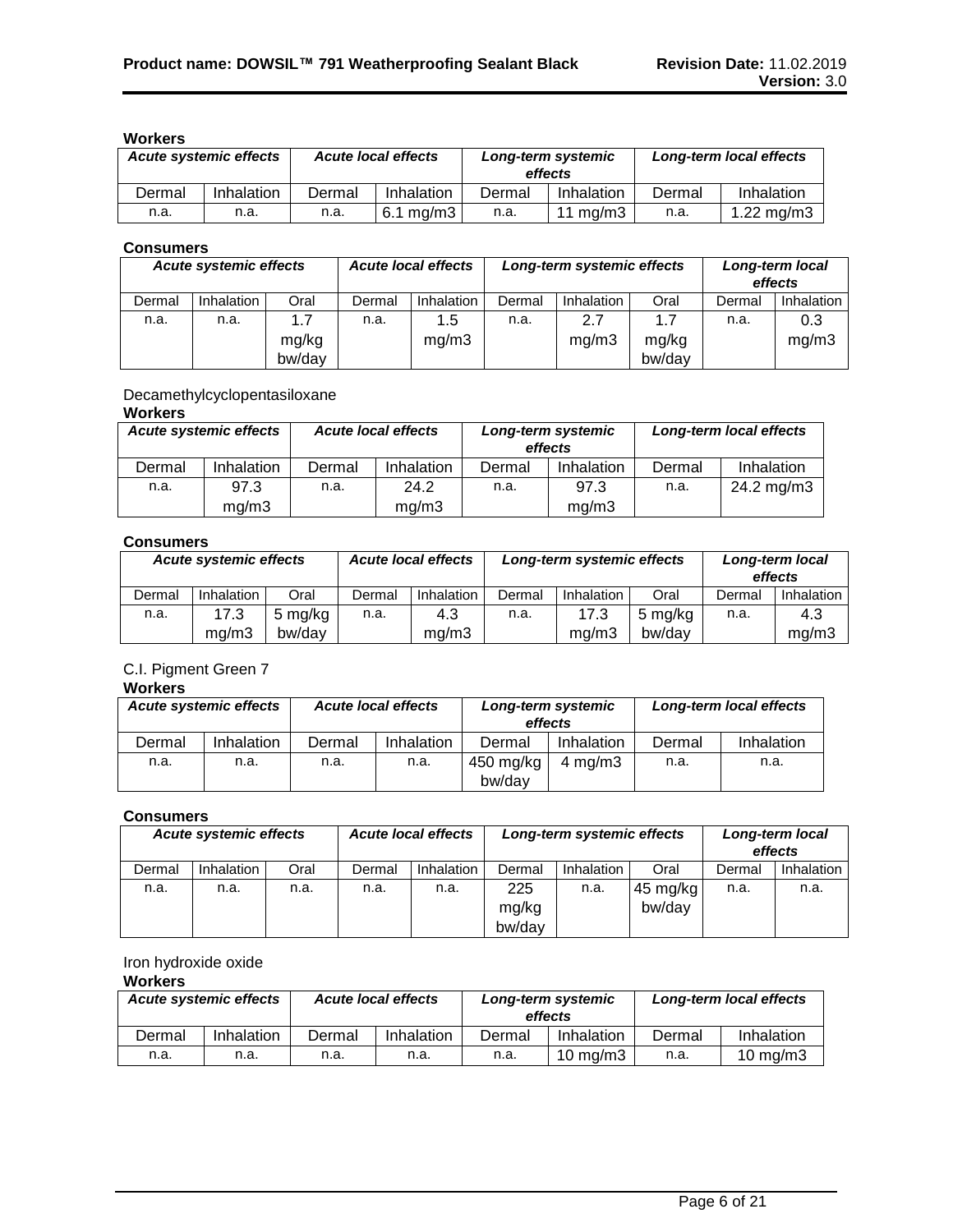## **Workers**

| <b>Acute systemic effects</b> |            | <b>Acute local effects</b>   |            | Long-term systemic<br>effects |             | Long-term local effects |              |
|-------------------------------|------------|------------------------------|------------|-------------------------------|-------------|-------------------------|--------------|
| Dermal                        | Inhalation | Dermal                       | Inhalation | Dermal                        | Inhalation  | Dermal                  | Inhalation   |
| n.a.                          | n.a.       | $6.1 \text{ ma/m}$ 3<br>n.a. |            | n.a.                          | 11 mg/m $3$ | n.a.                    | 1.22 $mg/m3$ |

#### **Consumers**

| Acute systemic effects |            | <b>Acute local effects</b> |        | Long-term systemic effects |        |              | Long-term local<br>effects |        |              |
|------------------------|------------|----------------------------|--------|----------------------------|--------|--------------|----------------------------|--------|--------------|
| Dermal                 | Inhalation | Oral                       | Dermal | <b>Inhalation</b>          | Dermal | Inhalation   | Oral                       | Dermal | Inhalation   |
| n.a.                   | n.a.       | 1.7<br>mg/kg<br>bw/day     | n.a.   | 1.5<br>mq/m3               | n.a.   | 2.7<br>mg/m3 | 1.7<br>mg/kg<br>bw/day     | n.a.   | 0.3<br>mg/m3 |

## Decamethylcyclopentasiloxane

## **Workers**

| <b>Acute systemic effects</b> |            | <b>Acute local effects</b> |            |        | Long-term systemic<br>effects | Long-term local effects |            |  |  |  |
|-------------------------------|------------|----------------------------|------------|--------|-------------------------------|-------------------------|------------|--|--|--|
| Dermal                        | Inhalation | Dermal                     | Inhalation | Dermal | Inhalation                    | Dermal                  | Inhalation |  |  |  |
| n.a.                          | 97.3       | n.a.                       | 24.2       | n.a.   | 97.3                          | n.a.                    | 24.2 mg/m3 |  |  |  |
|                               | mq/m3      |                            | mq/m3      |        | mq/m3                         |                         |            |  |  |  |

#### **Consumers**

| <b>Acute systemic effects</b> |            | <b>Acute local effects</b> |        | Long-term systemic effects |        |            | Long-term local<br>effects |        |            |
|-------------------------------|------------|----------------------------|--------|----------------------------|--------|------------|----------------------------|--------|------------|
| Dermal                        | Inhalation | Oral                       | Dermal | <b>Inhalation</b>          | Dermal | Inhalation | Oral                       | Dermal | Inhalation |
| n.a.                          | 17.3       | 5 mg/kg                    | n.a.   | 4.3                        | n.a.   | 17.3       | 5 mg/kg                    | n.a.   | 4.3        |
|                               | ma/m3      | bw/day                     |        | mg/m3                      |        | ma/m3      | bw/day                     |        | mq/m3      |

## C.I. Pigment Green 7

#### **Workers**

| <b>Acute systemic effects</b> |            | <b>Acute local effects</b> |            | Long-term systemic<br>effects |            | Long-term local effects |            |
|-------------------------------|------------|----------------------------|------------|-------------------------------|------------|-------------------------|------------|
| Dermal                        | Inhalation | Dermal                     | Inhalation | Dermal                        | Inhalation | Dermal                  | Inhalation |
| n.a.                          | n.a.       | n.a.                       | n.a.       | 450 mg/kg                     | 4 mg/m $3$ | n.a.                    | n.a.       |
|                               |            |                            |            |                               |            |                         |            |

#### **Consumers**

| <b>Acute systemic effects</b> |            | <b>Acute local effects</b> |        | Long-term systemic effects |                 |            | Long-term local<br>effects |        |            |
|-------------------------------|------------|----------------------------|--------|----------------------------|-----------------|------------|----------------------------|--------|------------|
| Dermal                        | Inhalation | Oral                       | Dermal | Inhalation                 | Dermal          | Inhalation | Oral                       | Dermal | Inhalation |
| n.a.                          | n.a.       | n.a.                       | n.a.   | n.a.                       | 225             | n.a.       | $45 \text{ mg/kg}$         | n.a.   | n.a.       |
|                               |            |                            |        |                            | mg/kg<br>bw/dav |            | bw/day                     |        |            |

## Iron hydroxide oxide

### **Workers**

| <b>Acute systemic effects</b> |            | <b>Acute local effects</b> |            |        | Long-term systemic<br>effects | Long-term local effects |                     |
|-------------------------------|------------|----------------------------|------------|--------|-------------------------------|-------------------------|---------------------|
| Dermal                        | Inhalation | Dermal                     | Inhalation | Dermal | Inhalation                    | Dermal                  | Inhalation          |
| n.a.                          | n.a.       | n.a.<br>n.a.               |            | n.a.   | $10 \text{ ma/m}$ 3           | n.a.                    | $10 \text{ ma/m}$ 3 |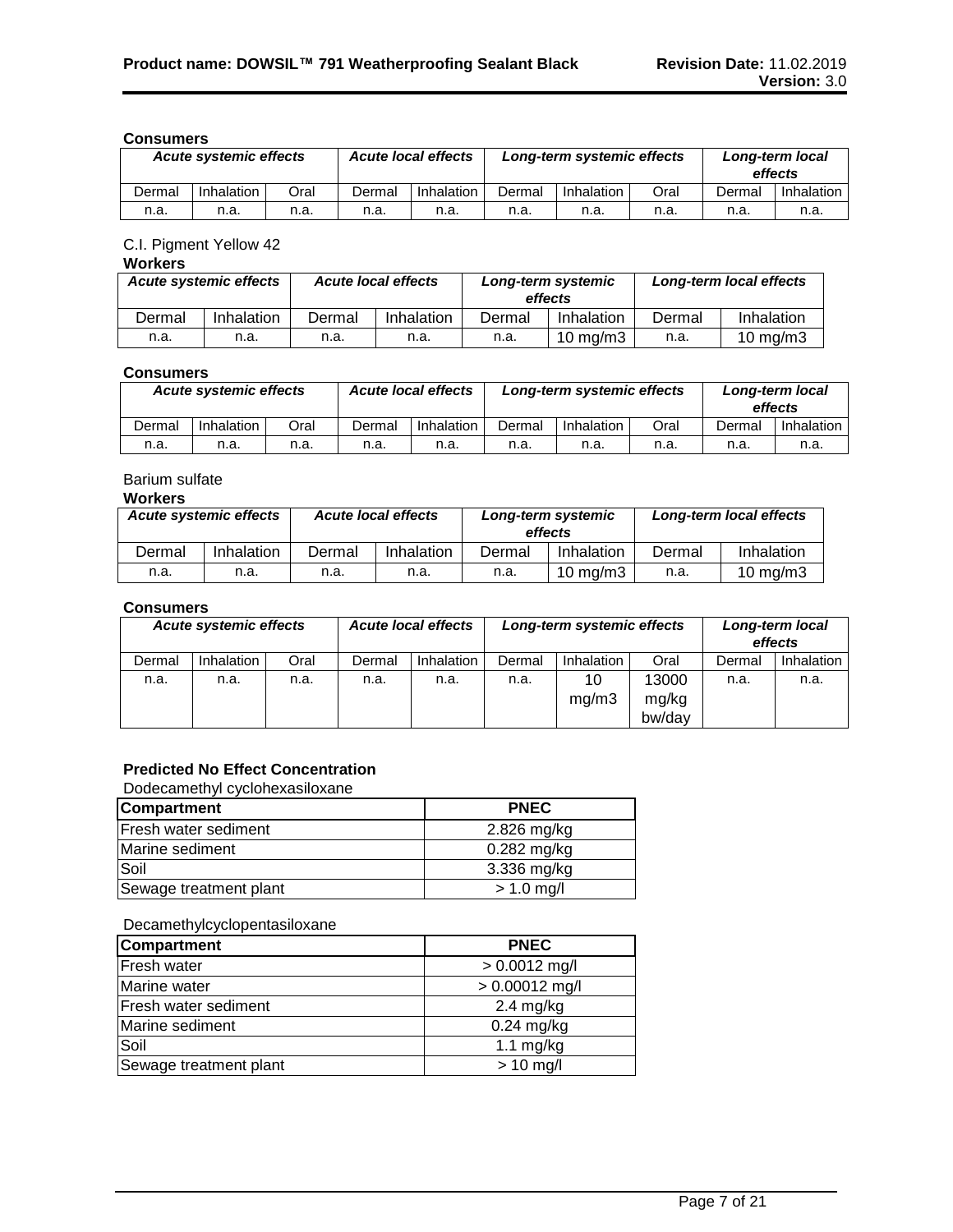#### **Consumers**

| <b>Acute local effects</b><br><b>Acute systemic effects</b> |            | Long-term systemic effects |        |            | Long-term local<br>effects |            |      |        |            |
|-------------------------------------------------------------|------------|----------------------------|--------|------------|----------------------------|------------|------|--------|------------|
| Dermal                                                      | Inhalation | Oral                       | Dermal | Inhalation | Dermal                     | Inhalation | Oral | Dermal | Inhalation |
| n.a.                                                        | n.a.       | n.a.                       | n.a.   | n.a.       | n.a.                       | n.a.       | n.a. | n.a.   | n.a.       |

#### C.I. Pigment Yellow 42

| <b>Acute systemic effects</b> |            | <b>Acute local effects</b> |            | Long-term systemic<br>effects |                   | Long-term local effects |                   |
|-------------------------------|------------|----------------------------|------------|-------------------------------|-------------------|-------------------------|-------------------|
| Dermal                        | Inhalation | Dermal                     | Inhalation | Dermal                        | Inhalation        | Dermal                  | Inhalation        |
| n.a.                          | n.a.       | n.a.                       | n.a.       | n.a.                          | $10 \text{ mg/m}$ | n.a.                    | $10 \text{ mg/m}$ |

#### **Consumers**

|        | <b>Acute local effects</b><br><b>Acute systemic effects</b> |      | Long-term systemic effects |            |        | Long-term local<br>effects |      |        |            |
|--------|-------------------------------------------------------------|------|----------------------------|------------|--------|----------------------------|------|--------|------------|
| Dermal | Inhalation                                                  | Oral | Dermal                     | Inhalation | Dermal | Inhalation                 | Oral | Dermal | Inhalation |
| n.a.   | n.a.                                                        | n.a. | n.a.                       | n.a.       | n.a.   | n.a.                       | n.a. | n.a.   | n.a.       |

## Barium sulfate

#### **Workers**

| <b>Acute systemic effects</b> |            | <b>Acute local effects</b> |            | Long-term systemic<br>effects |                     | Long-term local effects |                     |
|-------------------------------|------------|----------------------------|------------|-------------------------------|---------------------|-------------------------|---------------------|
| Dermal                        | Inhalation | Dermal                     | Inhalation | Dermal                        | Inhalation          | Dermal                  | Inhalation          |
| n.a.                          | n.a.       | n.a.                       | n.a.       | n.a.                          | $10 \text{ ma/m}$ 3 | n.a.                    | $10 \text{ mg/m}$ 3 |

#### **Consumers**

| <b>Acute local effects</b><br>Acute systemic effects |            |      |        | Long-term systemic effects |        |             | Long-term local<br>effects |        |                   |
|------------------------------------------------------|------------|------|--------|----------------------------|--------|-------------|----------------------------|--------|-------------------|
| Dermal                                               | Inhalation | Oral | Dermal | Inhalation                 | Dermal | Inhalation  | Oral                       | Dermal | <b>Inhalation</b> |
| n.a.                                                 | n.a.       | n.a. | n.a.   | n.a.                       | n.a.   | 10<br>mg/m3 | 13000<br>mg/kg<br>bw/day   | n.a.   | n.a.              |

## **Predicted No Effect Concentration**

Dodecamethyl cyclohexasiloxane

| <b>Compartment</b>          | <b>PNEC</b>   |
|-----------------------------|---------------|
| <b>Fresh water sediment</b> | 2.826 mg/kg   |
| Marine sediment             | $0.282$ mg/kg |
| Soil                        | 3.336 mg/kg   |
| Sewage treatment plant      | $> 1.0$ mg/l  |

#### Decamethylcyclopentasiloxane

| <b>Compartment</b>     | <b>PNEC</b>         |
|------------------------|---------------------|
| Fresh water            | $> 0.0012$ mg/l     |
| Marine water           | $> 0.00012$ mg/l    |
| Fresh water sediment   | $2.4 \text{ mg/kg}$ |
| Marine sediment        | $0.24$ mg/kg        |
| Soil                   | 1.1 $mg/kg$         |
| Sewage treatment plant | $> 10$ mg/l         |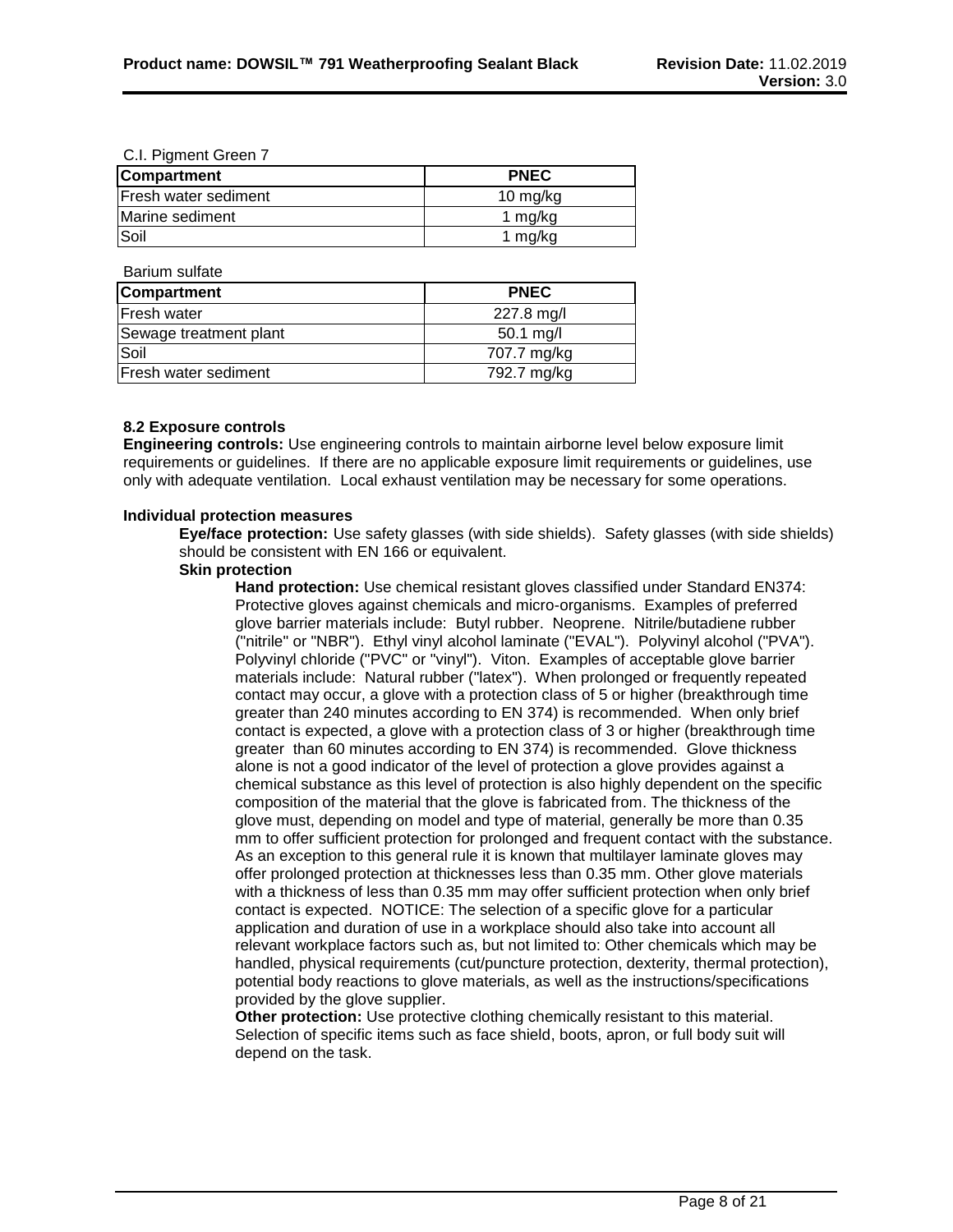#### C.I. Pigment Green 7

| <b>Compartment</b>           | <b>PNEC</b> |
|------------------------------|-------------|
| <b>IFresh water sediment</b> | 10 mg/kg    |
| Marine sediment              | 1 mg/kg     |
| Soil                         | 1 $mg/kg$   |

Barium sulfate

| <b>Compartment</b>     | <b>PNEC</b>            |
|------------------------|------------------------|
| <b>Fresh water</b>     | 227.8 mg/l             |
| Sewage treatment plant | $50.1 \,\mathrm{mg/l}$ |
| Soil                   | 707.7 mg/kg            |
| Fresh water sediment   | 792.7 mg/kg            |

#### **8.2 Exposure controls**

**Engineering controls:** Use engineering controls to maintain airborne level below exposure limit requirements or guidelines. If there are no applicable exposure limit requirements or guidelines, use only with adequate ventilation. Local exhaust ventilation may be necessary for some operations.

#### **Individual protection measures**

**Eye/face protection:** Use safety glasses (with side shields). Safety glasses (with side shields) should be consistent with EN 166 or equivalent.

#### **Skin protection**

**Hand protection:** Use chemical resistant gloves classified under Standard EN374: Protective gloves against chemicals and micro-organisms. Examples of preferred glove barrier materials include: Butyl rubber. Neoprene. Nitrile/butadiene rubber ("nitrile" or "NBR"). Ethyl vinyl alcohol laminate ("EVAL"). Polyvinyl alcohol ("PVA"). Polyvinyl chloride ("PVC" or "vinyl"). Viton. Examples of acceptable glove barrier materials include: Natural rubber ("latex"). When prolonged or frequently repeated contact may occur, a glove with a protection class of 5 or higher (breakthrough time greater than 240 minutes according to EN 374) is recommended. When only brief contact is expected, a glove with a protection class of 3 or higher (breakthrough time greater than 60 minutes according to EN 374) is recommended. Glove thickness alone is not a good indicator of the level of protection a glove provides against a chemical substance as this level of protection is also highly dependent on the specific composition of the material that the glove is fabricated from. The thickness of the glove must, depending on model and type of material, generally be more than 0.35 mm to offer sufficient protection for prolonged and frequent contact with the substance. As an exception to this general rule it is known that multilayer laminate gloves may offer prolonged protection at thicknesses less than 0.35 mm. Other glove materials with a thickness of less than 0.35 mm may offer sufficient protection when only brief contact is expected. NOTICE: The selection of a specific glove for a particular application and duration of use in a workplace should also take into account all relevant workplace factors such as, but not limited to: Other chemicals which may be handled, physical requirements (cut/puncture protection, dexterity, thermal protection), potential body reactions to glove materials, as well as the instructions/specifications provided by the glove supplier.

**Other protection:** Use protective clothing chemically resistant to this material. Selection of specific items such as face shield, boots, apron, or full body suit will depend on the task.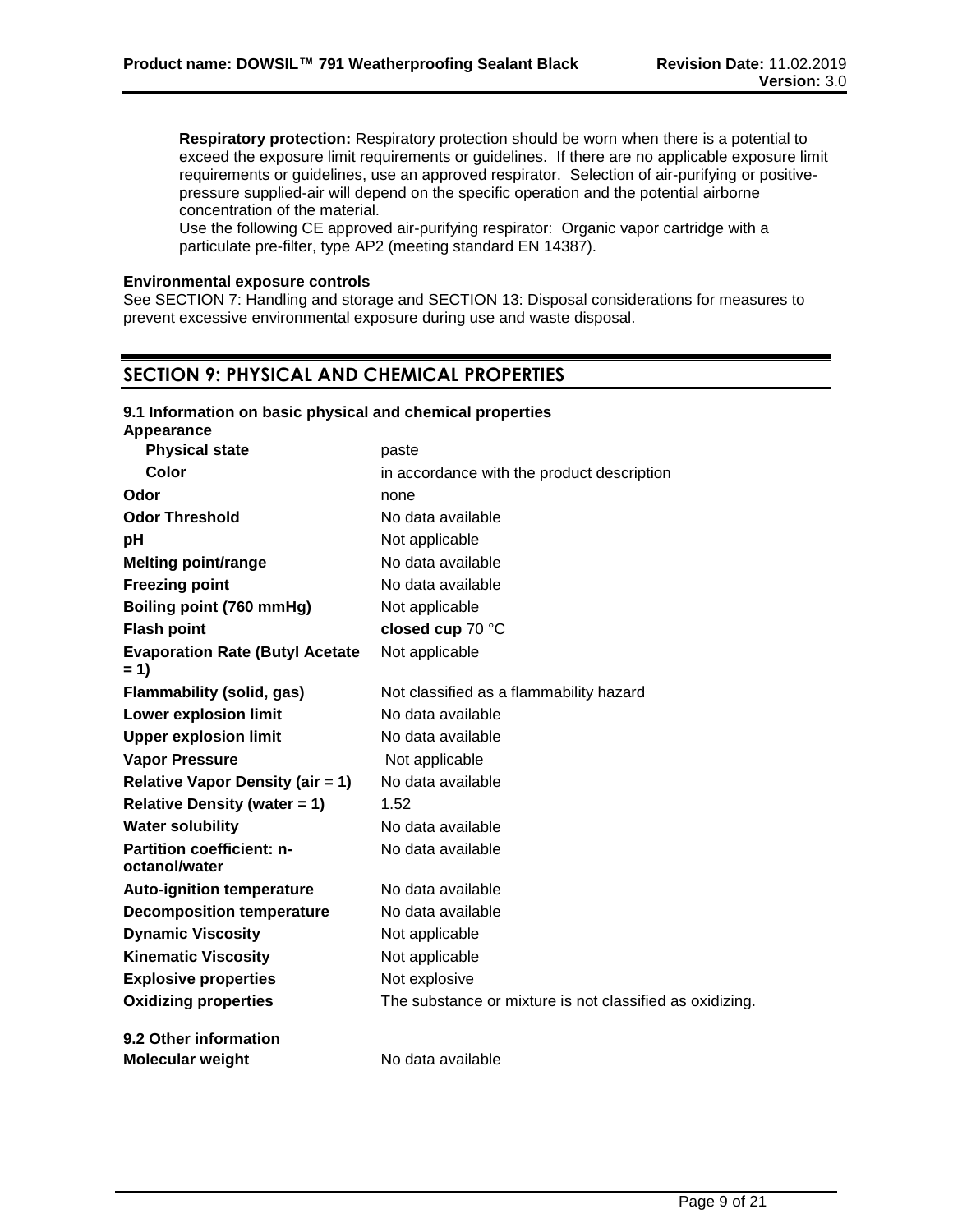**Respiratory protection:** Respiratory protection should be worn when there is a potential to exceed the exposure limit requirements or guidelines. If there are no applicable exposure limit requirements or guidelines, use an approved respirator. Selection of air-purifying or positivepressure supplied-air will depend on the specific operation and the potential airborne concentration of the material.

Use the following CE approved air-purifying respirator: Organic vapor cartridge with a particulate pre-filter, type AP2 (meeting standard EN 14387).

#### **Environmental exposure controls**

See SECTION 7: Handling and storage and SECTION 13: Disposal considerations for measures to prevent excessive environmental exposure during use and waste disposal.

## **SECTION 9: PHYSICAL AND CHEMICAL PROPERTIES**

| 9.1 Information on basic physical and chemical properties<br>Appearance |                                                          |
|-------------------------------------------------------------------------|----------------------------------------------------------|
| <b>Physical state</b>                                                   | paste                                                    |
| Color                                                                   | in accordance with the product description               |
| Odor                                                                    | none                                                     |
| <b>Odor Threshold</b>                                                   | No data available                                        |
| pH                                                                      | Not applicable                                           |
| <b>Melting point/range</b>                                              | No data available                                        |
| <b>Freezing point</b>                                                   | No data available                                        |
| Boiling point (760 mmHg)                                                | Not applicable                                           |
| <b>Flash point</b>                                                      | closed cup 70 °C                                         |
| <b>Evaporation Rate (Butyl Acetate</b><br>$= 1$                         | Not applicable                                           |
| <b>Flammability (solid, gas)</b>                                        | Not classified as a flammability hazard                  |
| <b>Lower explosion limit</b>                                            | No data available                                        |
| <b>Upper explosion limit</b>                                            | No data available                                        |
| <b>Vapor Pressure</b>                                                   | Not applicable                                           |
| <b>Relative Vapor Density (air = 1)</b>                                 | No data available                                        |
| <b>Relative Density (water = 1)</b>                                     | 1.52                                                     |
| <b>Water solubility</b>                                                 | No data available                                        |
| <b>Partition coefficient: n-</b><br>octanol/water                       | No data available                                        |
| <b>Auto-ignition temperature</b>                                        | No data available                                        |
| <b>Decomposition temperature</b>                                        | No data available                                        |
| <b>Dynamic Viscosity</b>                                                | Not applicable                                           |
| <b>Kinematic Viscosity</b>                                              | Not applicable                                           |
| <b>Explosive properties</b>                                             | Not explosive                                            |
| <b>Oxidizing properties</b>                                             | The substance or mixture is not classified as oxidizing. |
| 9.2 Other information                                                   |                                                          |
| <b>Molecular weight</b>                                                 | No data available                                        |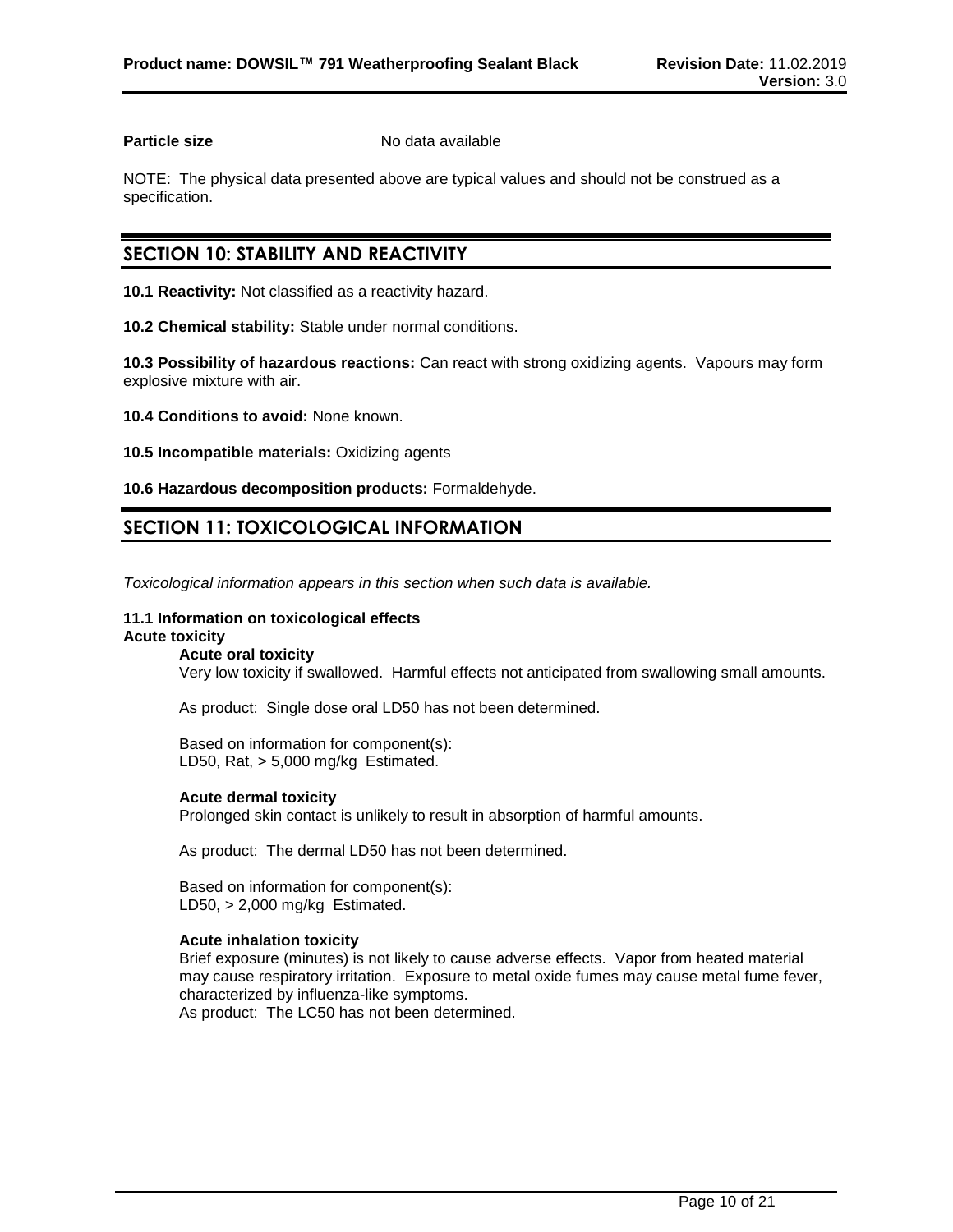**Particle size** No data available

NOTE: The physical data presented above are typical values and should not be construed as a specification.

## **SECTION 10: STABILITY AND REACTIVITY**

**10.1 Reactivity:** Not classified as a reactivity hazard.

**10.2 Chemical stability:** Stable under normal conditions.

**10.3 Possibility of hazardous reactions:** Can react with strong oxidizing agents. Vapours may form explosive mixture with air.

**10.4 Conditions to avoid:** None known.

**10.5 Incompatible materials:** Oxidizing agents

**10.6 Hazardous decomposition products:** Formaldehyde.

## **SECTION 11: TOXICOLOGICAL INFORMATION**

*Toxicological information appears in this section when such data is available.*

## **11.1 Information on toxicological effects**

#### **Acute toxicity Acute oral toxicity**

Very low toxicity if swallowed. Harmful effects not anticipated from swallowing small amounts.

As product: Single dose oral LD50 has not been determined.

Based on information for component(s): LD50, Rat, > 5,000 mg/kg Estimated.

#### **Acute dermal toxicity**

Prolonged skin contact is unlikely to result in absorption of harmful amounts.

As product: The dermal LD50 has not been determined.

Based on information for component(s): LD50, > 2,000 mg/kg Estimated.

#### **Acute inhalation toxicity**

Brief exposure (minutes) is not likely to cause adverse effects. Vapor from heated material may cause respiratory irritation. Exposure to metal oxide fumes may cause metal fume fever, characterized by influenza-like symptoms. As product: The LC50 has not been determined.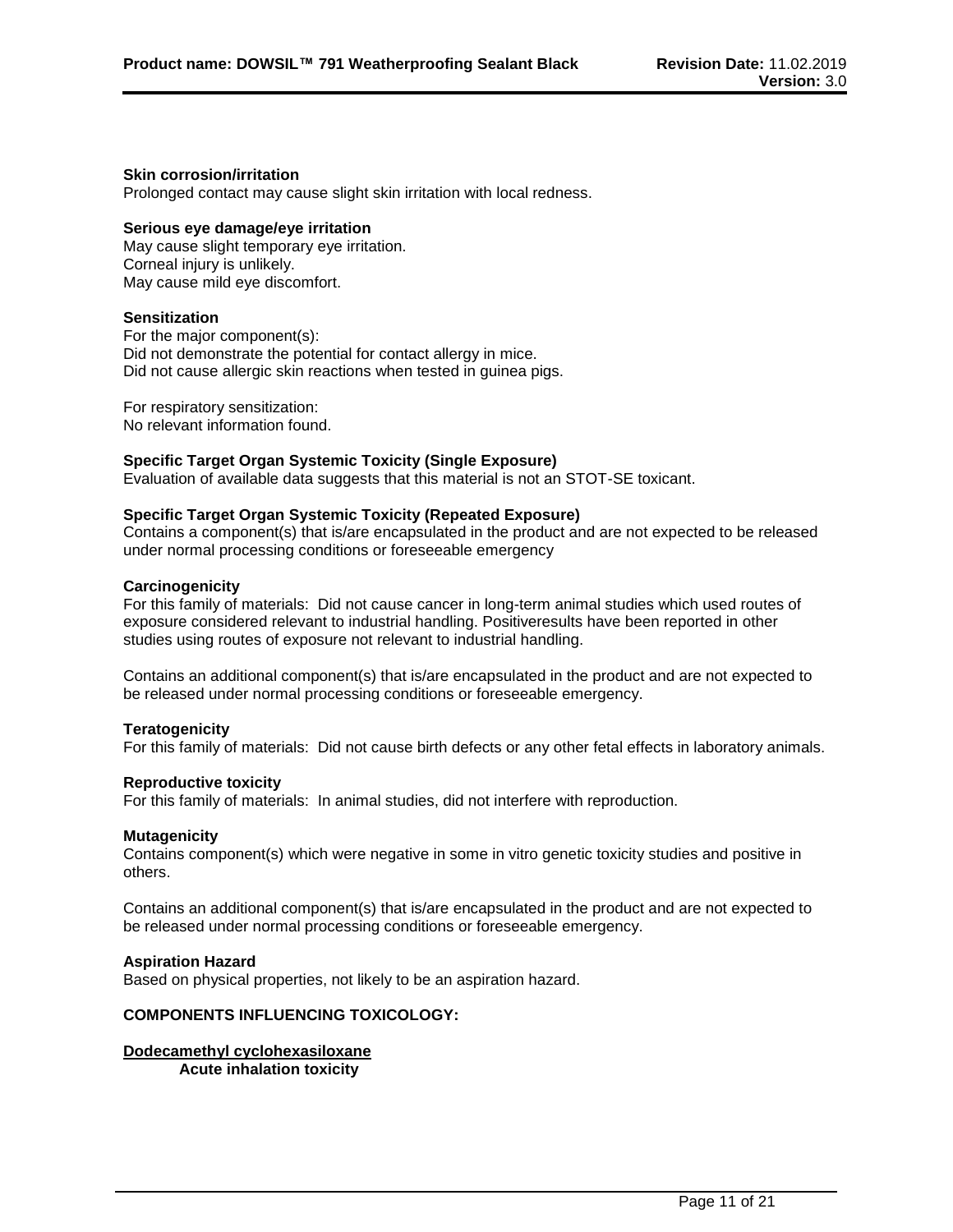#### **Skin corrosion/irritation**

Prolonged contact may cause slight skin irritation with local redness.

#### **Serious eye damage/eye irritation**

May cause slight temporary eye irritation. Corneal injury is unlikely. May cause mild eye discomfort.

#### **Sensitization**

For the major component(s): Did not demonstrate the potential for contact allergy in mice. Did not cause allergic skin reactions when tested in guinea pigs.

For respiratory sensitization: No relevant information found.

## **Specific Target Organ Systemic Toxicity (Single Exposure)**

Evaluation of available data suggests that this material is not an STOT-SE toxicant.

#### **Specific Target Organ Systemic Toxicity (Repeated Exposure)**

Contains a component(s) that is/are encapsulated in the product and are not expected to be released under normal processing conditions or foreseeable emergency

#### **Carcinogenicity**

For this family of materials: Did not cause cancer in long-term animal studies which used routes of exposure considered relevant to industrial handling. Positiveresults have been reported in other studies using routes of exposure not relevant to industrial handling.

Contains an additional component(s) that is/are encapsulated in the product and are not expected to be released under normal processing conditions or foreseeable emergency.

#### **Teratogenicity**

For this family of materials: Did not cause birth defects or any other fetal effects in laboratory animals.

#### **Reproductive toxicity**

For this family of materials: In animal studies, did not interfere with reproduction.

#### **Mutagenicity**

Contains component(s) which were negative in some in vitro genetic toxicity studies and positive in others.

Contains an additional component(s) that is/are encapsulated in the product and are not expected to be released under normal processing conditions or foreseeable emergency.

#### **Aspiration Hazard**

Based on physical properties, not likely to be an aspiration hazard.

#### **COMPONENTS INFLUENCING TOXICOLOGY:**

#### **Dodecamethyl cyclohexasiloxane Acute inhalation toxicity**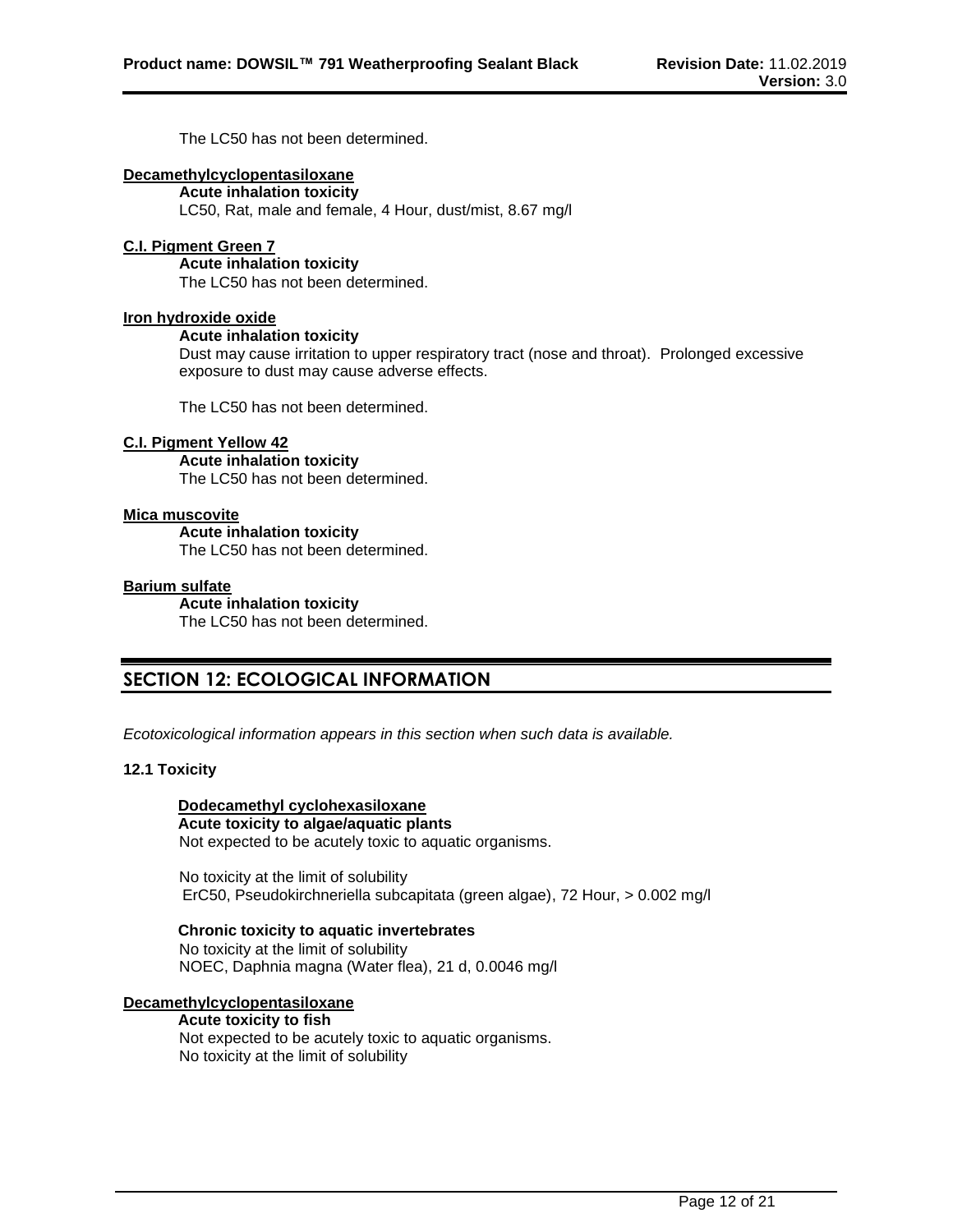The LC50 has not been determined.

### **Decamethylcyclopentasiloxane**

**Acute inhalation toxicity** LC50, Rat, male and female, 4 Hour, dust/mist, 8.67 mg/l

#### **C.I. Pigment Green 7**

**Acute inhalation toxicity** The LC50 has not been determined.

#### **Iron hydroxide oxide**

#### **Acute inhalation toxicity**

Dust may cause irritation to upper respiratory tract (nose and throat). Prolonged excessive exposure to dust may cause adverse effects.

The LC50 has not been determined.

#### **C.I. Pigment Yellow 42**

**Acute inhalation toxicity** The LC50 has not been determined.

#### **Mica muscovite**

**Acute inhalation toxicity** The LC50 has not been determined.

#### **Barium sulfate**

**Acute inhalation toxicity** The LC50 has not been determined.

## **SECTION 12: ECOLOGICAL INFORMATION**

*Ecotoxicological information appears in this section when such data is available.*

#### **12.1 Toxicity**

#### **Dodecamethyl cyclohexasiloxane Acute toxicity to algae/aquatic plants**

Not expected to be acutely toxic to aquatic organisms.

No toxicity at the limit of solubility ErC50, Pseudokirchneriella subcapitata (green algae), 72 Hour, > 0.002 mg/l

#### **Chronic toxicity to aquatic invertebrates**

No toxicity at the limit of solubility NOEC, Daphnia magna (Water flea), 21 d, 0.0046 mg/l

#### **Decamethylcyclopentasiloxane**

## **Acute toxicity to fish**

Not expected to be acutely toxic to aquatic organisms. No toxicity at the limit of solubility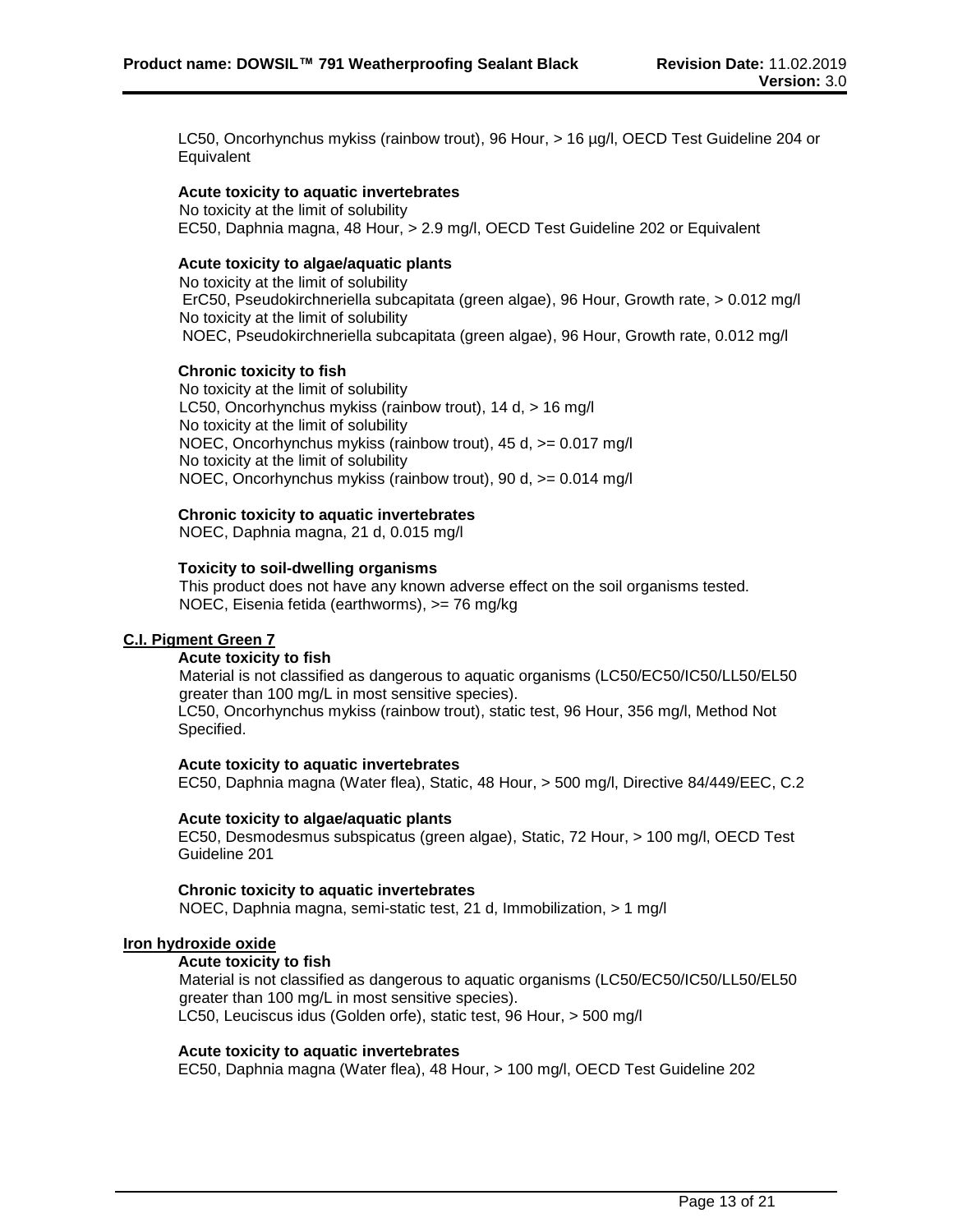LC50, Oncorhynchus mykiss (rainbow trout), 96 Hour, > 16 µg/l, OECD Test Guideline 204 or **Equivalent** 

#### **Acute toxicity to aquatic invertebrates**

No toxicity at the limit of solubility EC50, Daphnia magna, 48 Hour, > 2.9 mg/l, OECD Test Guideline 202 or Equivalent

#### **Acute toxicity to algae/aquatic plants**

No toxicity at the limit of solubility ErC50, Pseudokirchneriella subcapitata (green algae), 96 Hour, Growth rate, > 0.012 mg/l No toxicity at the limit of solubility NOEC, Pseudokirchneriella subcapitata (green algae), 96 Hour, Growth rate, 0.012 mg/l

#### **Chronic toxicity to fish**

No toxicity at the limit of solubility LC50, Oncorhynchus mykiss (rainbow trout), 14 d, > 16 mg/l No toxicity at the limit of solubility NOEC, Oncorhynchus mykiss (rainbow trout), 45 d, >= 0.017 mg/l No toxicity at the limit of solubility NOEC, Oncorhynchus mykiss (rainbow trout), 90 d, >= 0.014 mg/l

#### **Chronic toxicity to aquatic invertebrates**

NOEC, Daphnia magna, 21 d, 0.015 mg/l

#### **Toxicity to soil-dwelling organisms**

This product does not have any known adverse effect on the soil organisms tested. NOEC, Eisenia fetida (earthworms), >= 76 mg/kg

#### **C.I. Pigment Green 7**

#### **Acute toxicity to fish**

Material is not classified as dangerous to aquatic organisms (LC50/EC50/IC50/LL50/EL50 greater than 100 mg/L in most sensitive species). LC50, Oncorhynchus mykiss (rainbow trout), static test, 96 Hour, 356 mg/l, Method Not Specified.

#### **Acute toxicity to aquatic invertebrates**

EC50, Daphnia magna (Water flea), Static, 48 Hour, > 500 mg/l, Directive 84/449/EEC, C.2

#### **Acute toxicity to algae/aquatic plants**

EC50, Desmodesmus subspicatus (green algae), Static, 72 Hour, > 100 mg/l, OECD Test Guideline 201

#### **Chronic toxicity to aquatic invertebrates**

NOEC, Daphnia magna, semi-static test, 21 d, Immobilization, > 1 mg/l

#### **Iron hydroxide oxide**

#### **Acute toxicity to fish**

Material is not classified as dangerous to aquatic organisms (LC50/EC50/IC50/LL50/EL50 greater than 100 mg/L in most sensitive species). LC50, Leuciscus idus (Golden orfe), static test, 96 Hour, > 500 mg/l

#### **Acute toxicity to aquatic invertebrates**

EC50, Daphnia magna (Water flea), 48 Hour, > 100 mg/l, OECD Test Guideline 202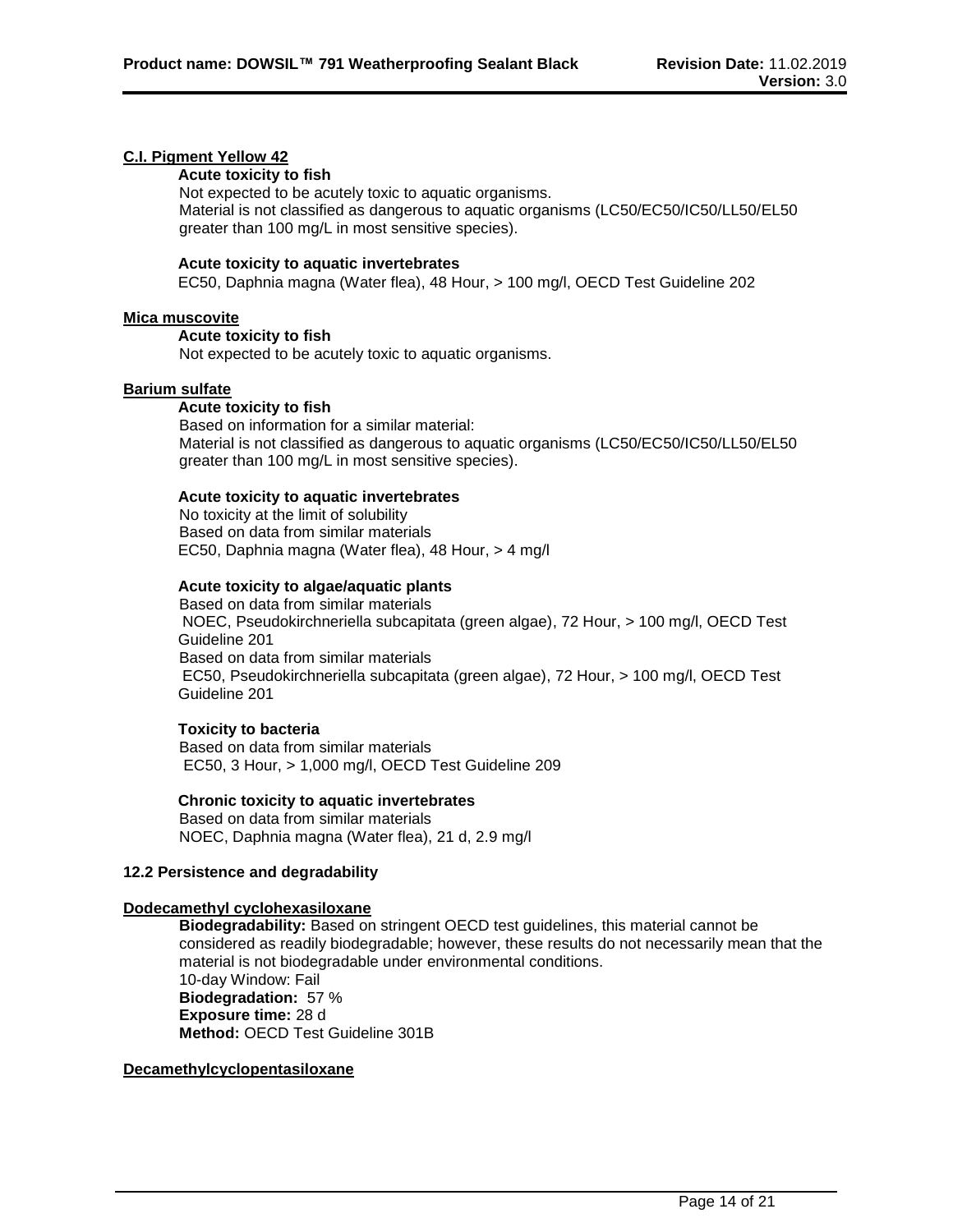## **C.I. Pigment Yellow 42**

## **Acute toxicity to fish**

Not expected to be acutely toxic to aquatic organisms. Material is not classified as dangerous to aquatic organisms (LC50/EC50/IC50/LL50/EL50 greater than 100 mg/L in most sensitive species).

#### **Acute toxicity to aquatic invertebrates**

EC50, Daphnia magna (Water flea), 48 Hour, > 100 mg/l, OECD Test Guideline 202

#### **Mica muscovite**

#### **Acute toxicity to fish**

Not expected to be acutely toxic to aquatic organisms.

#### **Barium sulfate**

#### **Acute toxicity to fish**

Based on information for a similar material: Material is not classified as dangerous to aquatic organisms (LC50/EC50/IC50/LL50/EL50 greater than 100 mg/L in most sensitive species).

#### **Acute toxicity to aquatic invertebrates**

No toxicity at the limit of solubility Based on data from similar materials EC50, Daphnia magna (Water flea), 48 Hour, > 4 mg/l

#### **Acute toxicity to algae/aquatic plants**

Based on data from similar materials NOEC, Pseudokirchneriella subcapitata (green algae), 72 Hour, > 100 mg/l, OECD Test Guideline 201 Based on data from similar materials EC50, Pseudokirchneriella subcapitata (green algae), 72 Hour, > 100 mg/l, OECD Test Guideline 201

#### **Toxicity to bacteria**

Based on data from similar materials EC50, 3 Hour, > 1,000 mg/l, OECD Test Guideline 209

#### **Chronic toxicity to aquatic invertebrates**

Based on data from similar materials NOEC, Daphnia magna (Water flea), 21 d, 2.9 mg/l

#### **12.2 Persistence and degradability**

#### **Dodecamethyl cyclohexasiloxane**

**Biodegradability:** Based on stringent OECD test guidelines, this material cannot be considered as readily biodegradable; however, these results do not necessarily mean that the material is not biodegradable under environmental conditions. 10-day Window: Fail **Biodegradation:** 57 % **Exposure time:** 28 d **Method:** OECD Test Guideline 301B

## **Decamethylcyclopentasiloxane**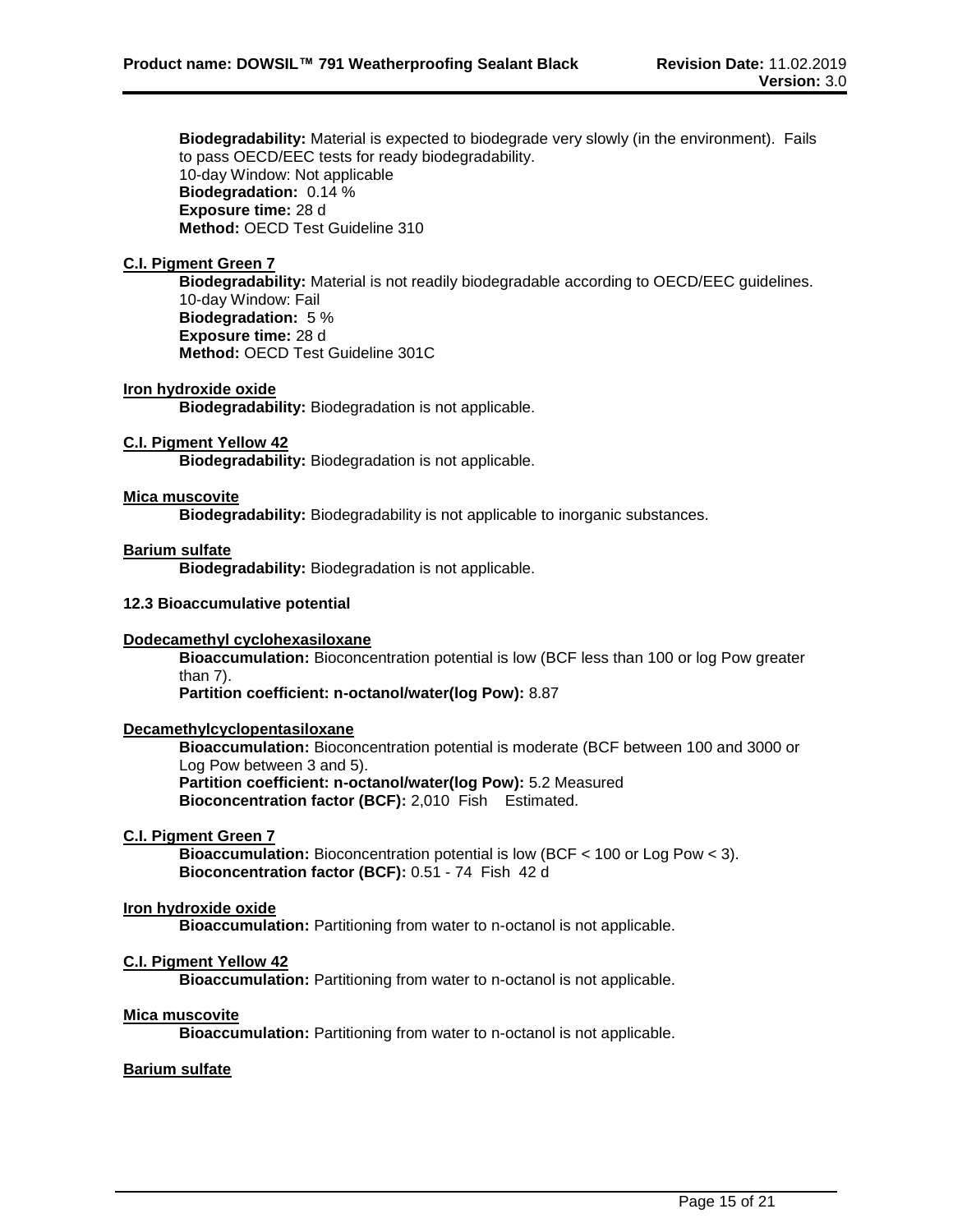**Biodegradability:** Material is expected to biodegrade very slowly (in the environment). Fails to pass OECD/EEC tests for ready biodegradability. 10-day Window: Not applicable **Biodegradation:** 0.14 % **Exposure time:** 28 d **Method:** OECD Test Guideline 310

#### **C.I. Pigment Green 7**

**Biodegradability:** Material is not readily biodegradable according to OECD/EEC guidelines. 10-day Window: Fail **Biodegradation:** 5 % **Exposure time:** 28 d **Method:** OECD Test Guideline 301C

#### **Iron hydroxide oxide**

**Biodegradability:** Biodegradation is not applicable.

#### **C.I. Pigment Yellow 42**

**Biodegradability:** Biodegradation is not applicable.

#### **Mica muscovite**

**Biodegradability:** Biodegradability is not applicable to inorganic substances.

#### **Barium sulfate**

**Biodegradability:** Biodegradation is not applicable.

#### **12.3 Bioaccumulative potential**

#### **Dodecamethyl cyclohexasiloxane**

**Bioaccumulation:** Bioconcentration potential is low (BCF less than 100 or log Pow greater than 7).

**Partition coefficient: n-octanol/water(log Pow):** 8.87

### **Decamethylcyclopentasiloxane**

**Bioaccumulation:** Bioconcentration potential is moderate (BCF between 100 and 3000 or Log Pow between 3 and 5). **Partition coefficient: n-octanol/water(log Pow):** 5.2 Measured **Bioconcentration factor (BCF):** 2,010 Fish Estimated.

#### **C.I. Pigment Green 7**

**Bioaccumulation:** Bioconcentration potential is low (BCF < 100 or Log Pow < 3). **Bioconcentration factor (BCF):** 0.51 - 74 Fish 42 d

#### **Iron hydroxide oxide**

**Bioaccumulation:** Partitioning from water to n-octanol is not applicable.

## **C.I. Pigment Yellow 42**

**Bioaccumulation:** Partitioning from water to n-octanol is not applicable.

#### **Mica muscovite**

**Bioaccumulation:** Partitioning from water to n-octanol is not applicable.

## **Barium sulfate**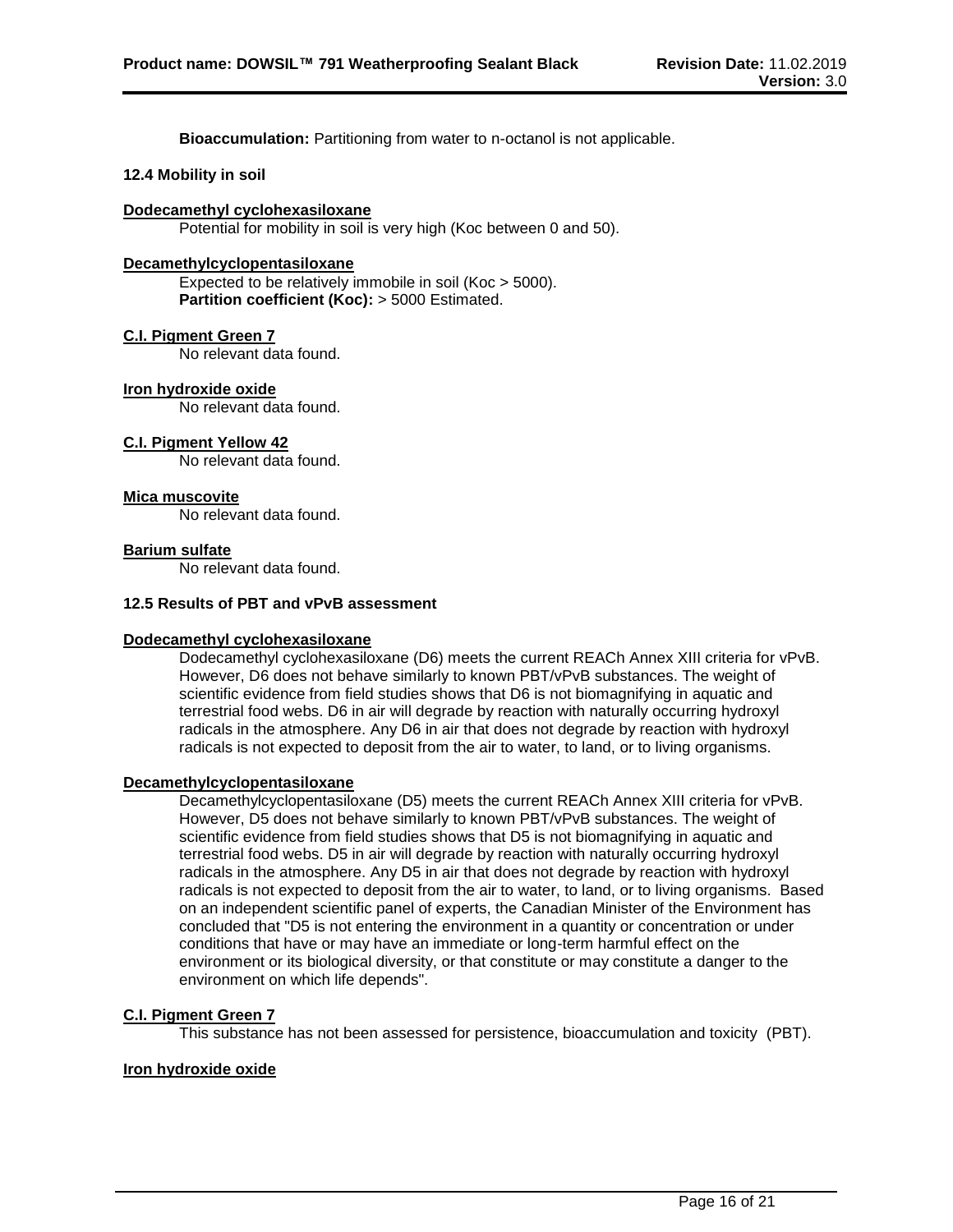**Bioaccumulation:** Partitioning from water to n-octanol is not applicable.

#### **12.4 Mobility in soil**

#### **Dodecamethyl cyclohexasiloxane**

Potential for mobility in soil is very high (Koc between 0 and 50).

#### **Decamethylcyclopentasiloxane**

Expected to be relatively immobile in soil (Koc > 5000). **Partition coefficient (Koc):** > 5000 Estimated.

#### **C.I. Pigment Green 7**

No relevant data found.

#### **Iron hydroxide oxide**

No relevant data found.

#### **C.I. Pigment Yellow 42**

No relevant data found.

#### **Mica muscovite**

No relevant data found.

#### **Barium sulfate**

No relevant data found.

#### **12.5 Results of PBT and vPvB assessment**

#### **Dodecamethyl cyclohexasiloxane**

Dodecamethyl cyclohexasiloxane (D6) meets the current REACh Annex XIII criteria for vPvB. However, D6 does not behave similarly to known PBT/vPvB substances. The weight of scientific evidence from field studies shows that D6 is not biomagnifying in aquatic and terrestrial food webs. D6 in air will degrade by reaction with naturally occurring hydroxyl radicals in the atmosphere. Any D6 in air that does not degrade by reaction with hydroxyl radicals is not expected to deposit from the air to water, to land, or to living organisms.

#### **Decamethylcyclopentasiloxane**

Decamethylcyclopentasiloxane (D5) meets the current REACh Annex XIII criteria for vPvB. However, D5 does not behave similarly to known PBT/vPvB substances. The weight of scientific evidence from field studies shows that D5 is not biomagnifying in aquatic and terrestrial food webs. D5 in air will degrade by reaction with naturally occurring hydroxyl radicals in the atmosphere. Any D5 in air that does not degrade by reaction with hydroxyl radicals is not expected to deposit from the air to water, to land, or to living organisms. Based on an independent scientific panel of experts, the Canadian Minister of the Environment has concluded that "D5 is not entering the environment in a quantity or concentration or under conditions that have or may have an immediate or long-term harmful effect on the environment or its biological diversity, or that constitute or may constitute a danger to the environment on which life depends".

#### **C.I. Pigment Green 7**

This substance has not been assessed for persistence, bioaccumulation and toxicity (PBT).

#### **Iron hydroxide oxide**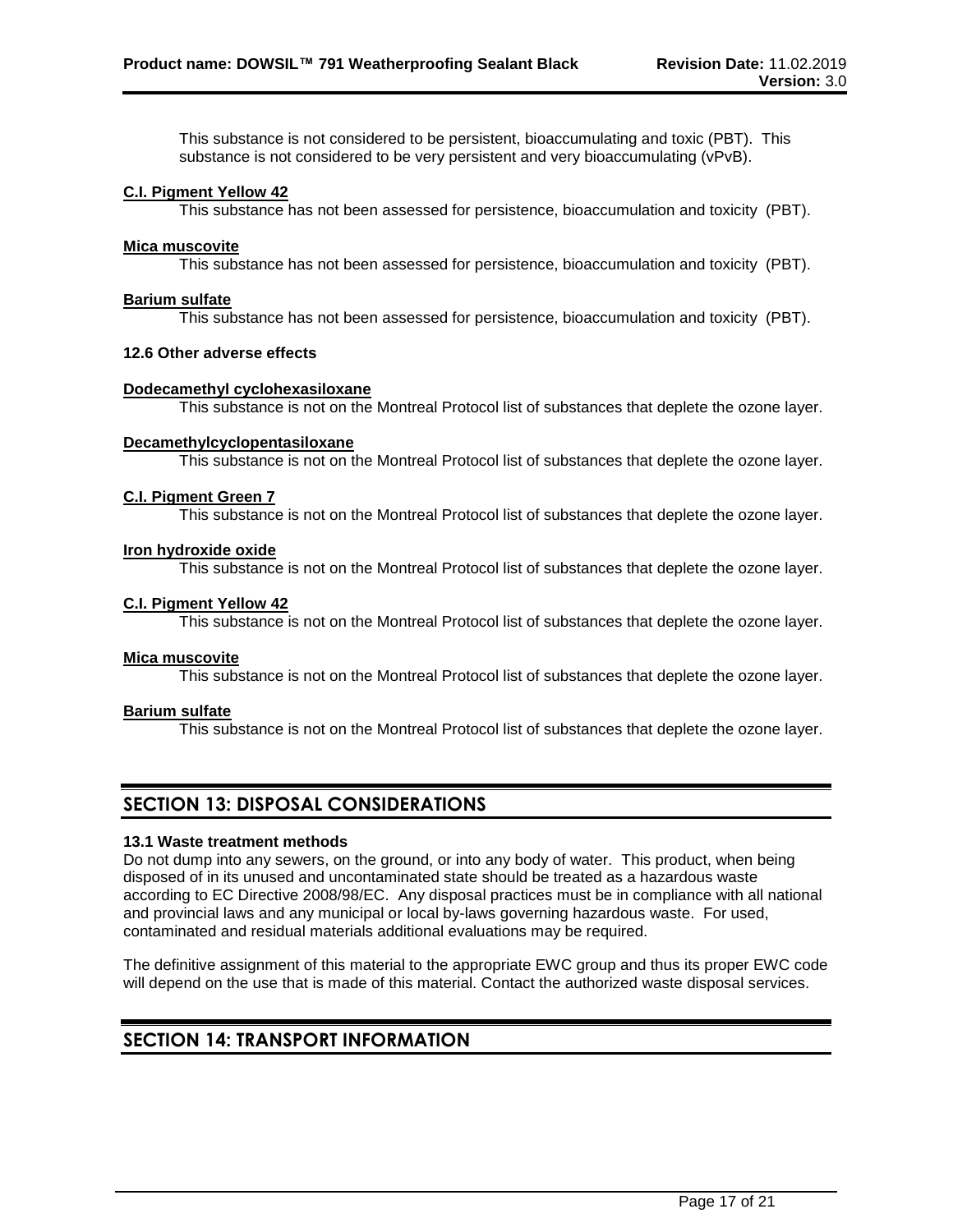This substance is not considered to be persistent, bioaccumulating and toxic (PBT). This substance is not considered to be very persistent and very bioaccumulating (vPvB).

#### **C.I. Pigment Yellow 42**

This substance has not been assessed for persistence, bioaccumulation and toxicity (PBT).

#### **Mica muscovite**

This substance has not been assessed for persistence, bioaccumulation and toxicity (PBT).

#### **Barium sulfate**

This substance has not been assessed for persistence, bioaccumulation and toxicity (PBT).

#### **12.6 Other adverse effects**

#### **Dodecamethyl cyclohexasiloxane**

This substance is not on the Montreal Protocol list of substances that deplete the ozone layer.

#### **Decamethylcyclopentasiloxane**

This substance is not on the Montreal Protocol list of substances that deplete the ozone layer.

#### **C.I. Pigment Green 7**

This substance is not on the Montreal Protocol list of substances that deplete the ozone layer.

#### **Iron hydroxide oxide**

This substance is not on the Montreal Protocol list of substances that deplete the ozone layer.

#### **C.I. Pigment Yellow 42**

This substance is not on the Montreal Protocol list of substances that deplete the ozone layer.

#### **Mica muscovite**

This substance is not on the Montreal Protocol list of substances that deplete the ozone layer.

#### **Barium sulfate**

This substance is not on the Montreal Protocol list of substances that deplete the ozone layer.

## **SECTION 13: DISPOSAL CONSIDERATIONS**

#### **13.1 Waste treatment methods**

Do not dump into any sewers, on the ground, or into any body of water. This product, when being disposed of in its unused and uncontaminated state should be treated as a hazardous waste according to EC Directive 2008/98/EC. Any disposal practices must be in compliance with all national and provincial laws and any municipal or local by-laws governing hazardous waste. For used, contaminated and residual materials additional evaluations may be required.

The definitive assignment of this material to the appropriate EWC group and thus its proper EWC code will depend on the use that is made of this material. Contact the authorized waste disposal services.

## **SECTION 14: TRANSPORT INFORMATION**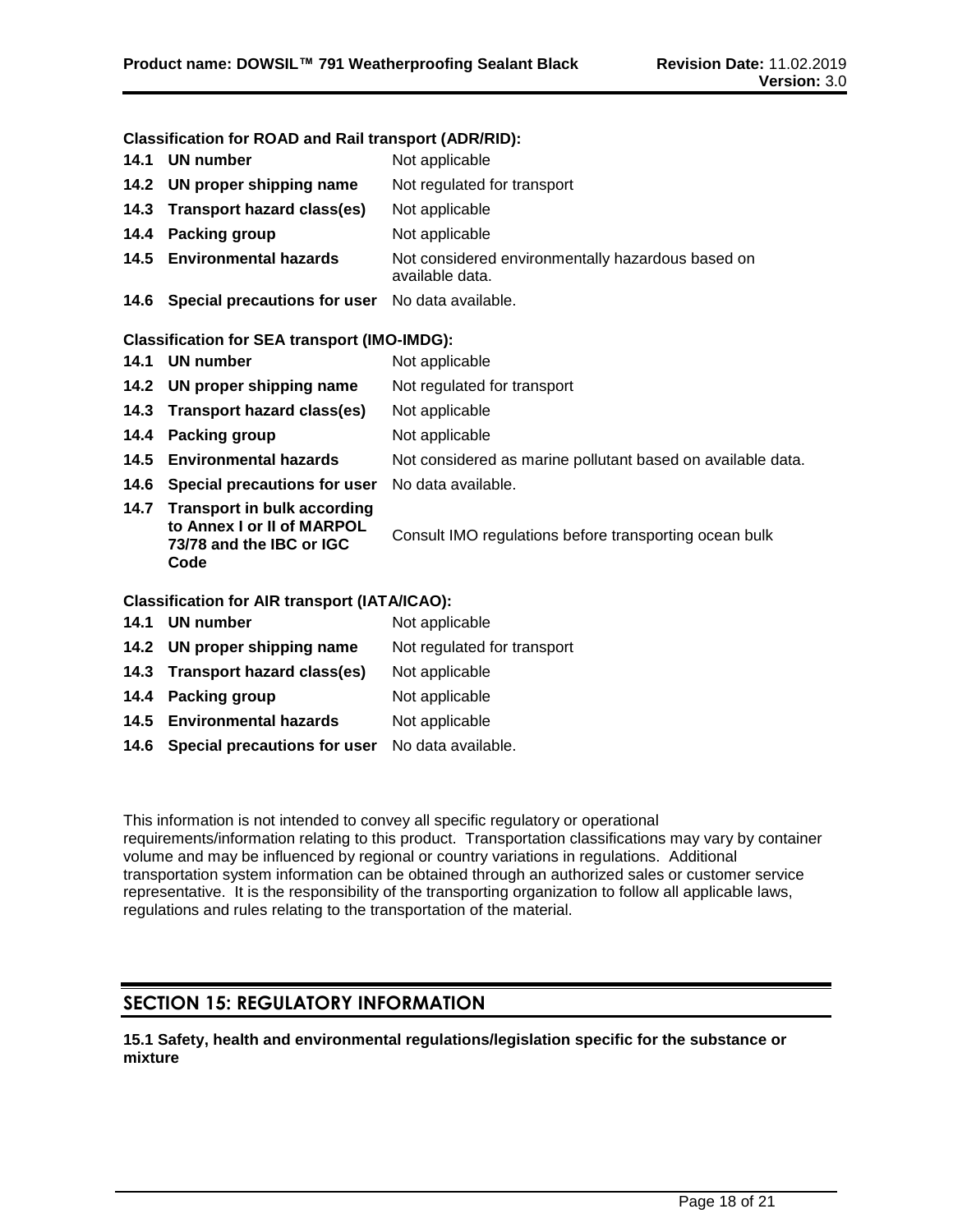#### **Classification for ROAD and Rail transport (ADR/RID):**

|      | 14.1 UN number                                                                                       | Not applicable                                                       |
|------|------------------------------------------------------------------------------------------------------|----------------------------------------------------------------------|
| 14.2 | UN proper shipping name                                                                              | Not regulated for transport                                          |
| 14.3 | <b>Transport hazard class(es)</b>                                                                    | Not applicable                                                       |
| 14.4 | <b>Packing group</b>                                                                                 | Not applicable                                                       |
|      | 14.5 Environmental hazards                                                                           | Not considered environmentally hazardous based on<br>available data. |
|      | 14.6 Special precautions for user No data available.                                                 |                                                                      |
|      | <b>Classification for SEA transport (IMO-IMDG):</b>                                                  |                                                                      |
| 14.1 | <b>UN number</b>                                                                                     | Not applicable                                                       |
| 14.2 | UN proper shipping name                                                                              | Not regulated for transport                                          |
| 14.3 | <b>Transport hazard class(es)</b>                                                                    | Not applicable                                                       |
| 14.4 | <b>Packing group</b>                                                                                 | Not applicable                                                       |
| 14.5 | <b>Environmental hazards</b>                                                                         | Not considered as marine pollutant based on available data.          |
|      | 14.6 Special precautions for user                                                                    | No data available.                                                   |
| 14.7 | <b>Transport in bulk according</b><br>to Annex I or II of MARPOL<br>73/78 and the IBC or IGC<br>Code | Consult IMO regulations before transporting ocean bulk               |
|      | <b>Classification for AIR transport (IATA/ICAO):</b>                                                 |                                                                      |
| 14.1 | <b>UN number</b>                                                                                     | Not applicable                                                       |
| 14.2 | UN proper shipping name                                                                              | Not regulated for transport                                          |
|      | 14.3 Transport hazard class(es)                                                                      | Not applicable                                                       |
| 14.4 | Packing group                                                                                        | Not applicable                                                       |

- 14.5 **Environmental hazards** Not applicable
- **14.6 Special precautions for user** No data available.

This information is not intended to convey all specific regulatory or operational requirements/information relating to this product. Transportation classifications may vary by container volume and may be influenced by regional or country variations in regulations. Additional transportation system information can be obtained through an authorized sales or customer service representative. It is the responsibility of the transporting organization to follow all applicable laws, regulations and rules relating to the transportation of the material.

## **SECTION 15: REGULATORY INFORMATION**

**15.1 Safety, health and environmental regulations/legislation specific for the substance or mixture**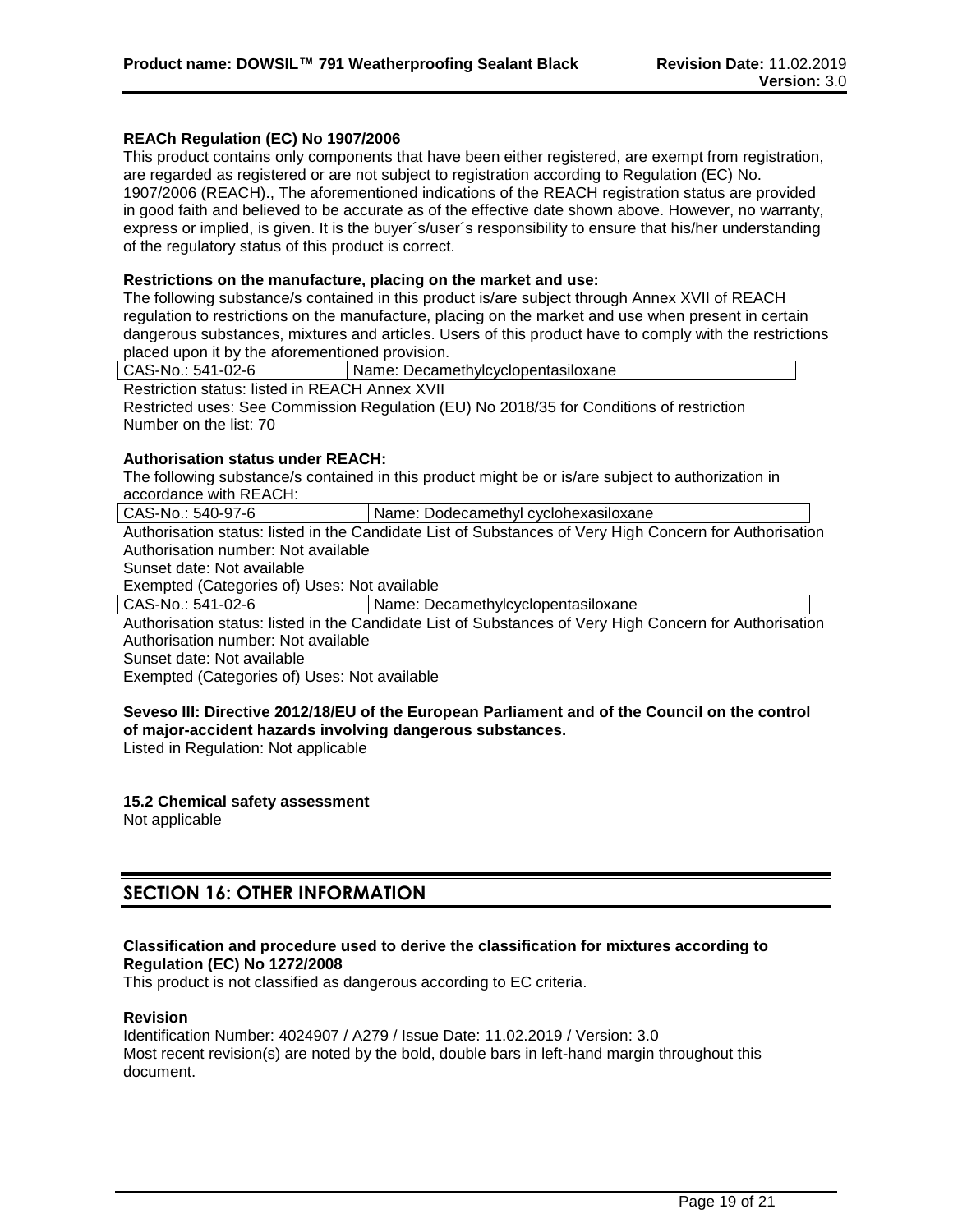#### **REACh Regulation (EC) No 1907/2006**

This product contains only components that have been either registered, are exempt from registration, are regarded as registered or are not subject to registration according to Regulation (EC) No. 1907/2006 (REACH)., The aforementioned indications of the REACH registration status are provided in good faith and believed to be accurate as of the effective date shown above. However, no warranty, express or implied, is given. It is the buyer´s/user´s responsibility to ensure that his/her understanding of the regulatory status of this product is correct.

#### **Restrictions on the manufacture, placing on the market and use:**

The following substance/s contained in this product is/are subject through Annex XVII of REACH regulation to restrictions on the manufacture, placing on the market and use when present in certain dangerous substances, mixtures and articles. Users of this product have to comply with the restrictions placed upon it by the aforementioned provision.

CAS-No.: 541-02-6 Name: Decamethylcyclopentasiloxane Restriction status: listed in REACH Annex XVII Restricted uses: See Commission Regulation (EU) No 2018/35 for Conditions of restriction Number on the list: 70

#### **Authorisation status under REACH:**

The following substance/s contained in this product might be or is/are subject to authorization in accordance with REACH:

CAS-No.: 540-97-6 | Name: Dodecamethyl cyclohexasiloxane Authorisation status: listed in the Candidate List of Substances of Very High Concern for Authorisation Authorisation number: Not available

Sunset date: Not available

Exempted (Categories of) Uses: Not available

CAS-No.: 541-02-6 Name: Decamethylcyclopentasiloxane

Authorisation status: listed in the Candidate List of Substances of Very High Concern for Authorisation Authorisation number: Not available

Sunset date: Not available

Exempted (Categories of) Uses: Not available

#### **Seveso III: Directive 2012/18/EU of the European Parliament and of the Council on the control of major-accident hazards involving dangerous substances.**

Listed in Regulation: Not applicable

**15.2 Chemical safety assessment** Not applicable

## **SECTION 16: OTHER INFORMATION**

#### **Classification and procedure used to derive the classification for mixtures according to Regulation (EC) No 1272/2008**

This product is not classified as dangerous according to EC criteria.

#### **Revision**

Identification Number: 4024907 / A279 / Issue Date: 11.02.2019 / Version: 3.0 Most recent revision(s) are noted by the bold, double bars in left-hand margin throughout this document.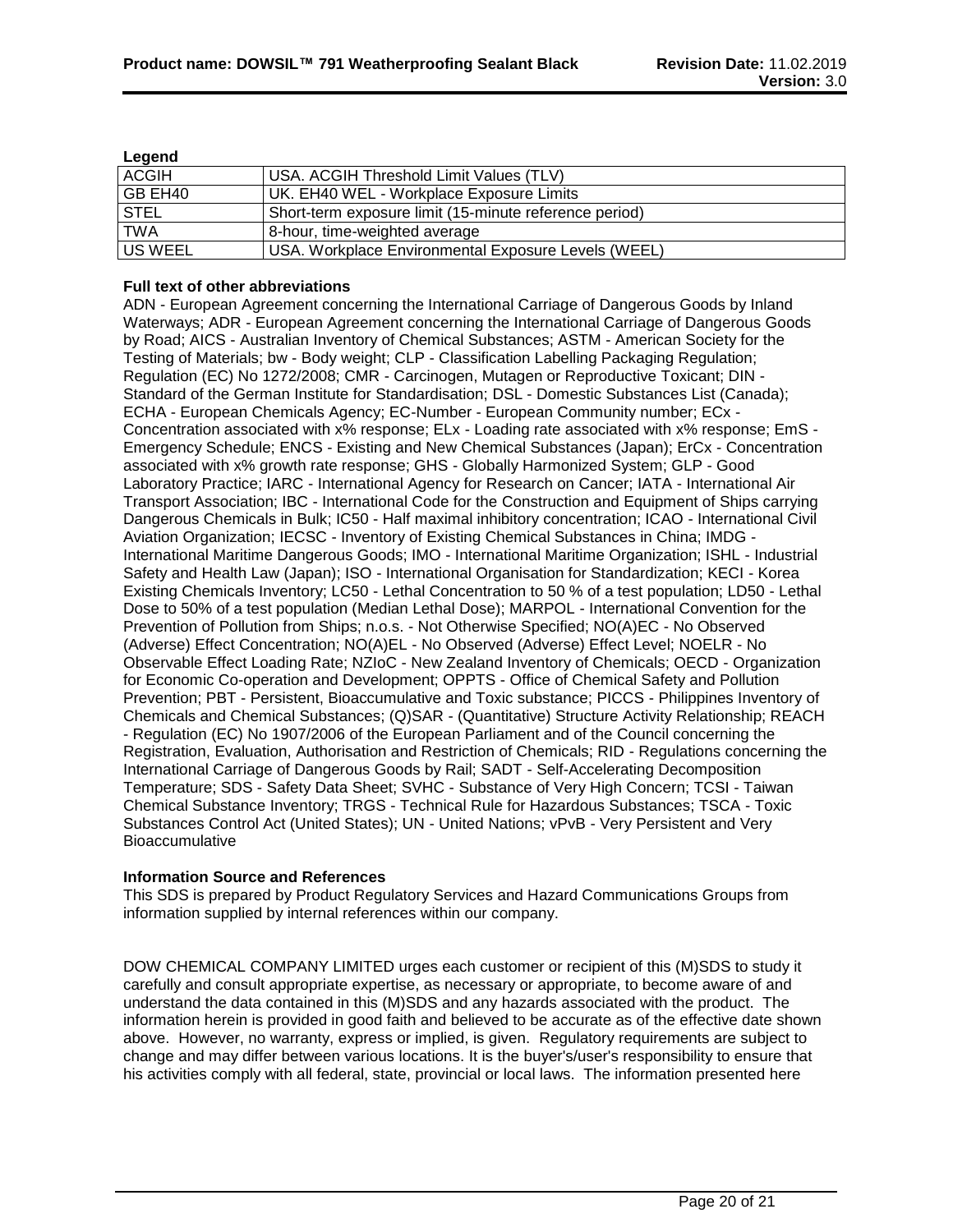| n | ۱O<br>ın<br>œ |
|---|---------------|
|   |               |

| Euguna       |                                                        |
|--------------|--------------------------------------------------------|
| <b>ACGIH</b> | USA. ACGIH Threshold Limit Values (TLV)                |
| I GB EH40    | UK. EH40 WEL - Workplace Exposure Limits               |
| <b>STEL</b>  | Short-term exposure limit (15-minute reference period) |
| <b>TWA</b>   | 8-hour, time-weighted average                          |
| US WEEL      | USA. Workplace Environmental Exposure Levels (WEEL)    |

#### **Full text of other abbreviations**

ADN - European Agreement concerning the International Carriage of Dangerous Goods by Inland Waterways; ADR - European Agreement concerning the International Carriage of Dangerous Goods by Road; AICS - Australian Inventory of Chemical Substances; ASTM - American Society for the Testing of Materials; bw - Body weight; CLP - Classification Labelling Packaging Regulation; Regulation (EC) No 1272/2008; CMR - Carcinogen, Mutagen or Reproductive Toxicant; DIN - Standard of the German Institute for Standardisation; DSL - Domestic Substances List (Canada); ECHA - European Chemicals Agency; EC-Number - European Community number; ECx - Concentration associated with x% response; ELx - Loading rate associated with x% response; EmS - Emergency Schedule; ENCS - Existing and New Chemical Substances (Japan); ErCx - Concentration associated with x% growth rate response; GHS - Globally Harmonized System; GLP - Good Laboratory Practice; IARC - International Agency for Research on Cancer; IATA - International Air Transport Association; IBC - International Code for the Construction and Equipment of Ships carrying Dangerous Chemicals in Bulk; IC50 - Half maximal inhibitory concentration; ICAO - International Civil Aviation Organization; IECSC - Inventory of Existing Chemical Substances in China; IMDG - International Maritime Dangerous Goods; IMO - International Maritime Organization; ISHL - Industrial Safety and Health Law (Japan); ISO - International Organisation for Standardization; KECI - Korea Existing Chemicals Inventory; LC50 - Lethal Concentration to 50 % of a test population; LD50 - Lethal Dose to 50% of a test population (Median Lethal Dose); MARPOL - International Convention for the Prevention of Pollution from Ships; n.o.s. - Not Otherwise Specified; NO(A)EC - No Observed (Adverse) Effect Concentration; NO(A)EL - No Observed (Adverse) Effect Level; NOELR - No Observable Effect Loading Rate; NZIoC - New Zealand Inventory of Chemicals; OECD - Organization for Economic Co-operation and Development; OPPTS - Office of Chemical Safety and Pollution Prevention; PBT - Persistent, Bioaccumulative and Toxic substance; PICCS - Philippines Inventory of Chemicals and Chemical Substances; (Q)SAR - (Quantitative) Structure Activity Relationship; REACH - Regulation (EC) No 1907/2006 of the European Parliament and of the Council concerning the Registration, Evaluation, Authorisation and Restriction of Chemicals; RID - Regulations concerning the International Carriage of Dangerous Goods by Rail; SADT - Self-Accelerating Decomposition Temperature; SDS - Safety Data Sheet; SVHC - Substance of Very High Concern; TCSI - Taiwan Chemical Substance Inventory; TRGS - Technical Rule for Hazardous Substances; TSCA - Toxic Substances Control Act (United States); UN - United Nations; vPvB - Very Persistent and Very Bioaccumulative

#### **Information Source and References**

This SDS is prepared by Product Regulatory Services and Hazard Communications Groups from information supplied by internal references within our company.

DOW CHEMICAL COMPANY LIMITED urges each customer or recipient of this (M)SDS to study it carefully and consult appropriate expertise, as necessary or appropriate, to become aware of and understand the data contained in this (M)SDS and any hazards associated with the product. The information herein is provided in good faith and believed to be accurate as of the effective date shown above. However, no warranty, express or implied, is given. Regulatory requirements are subject to change and may differ between various locations. It is the buyer's/user's responsibility to ensure that his activities comply with all federal, state, provincial or local laws. The information presented here